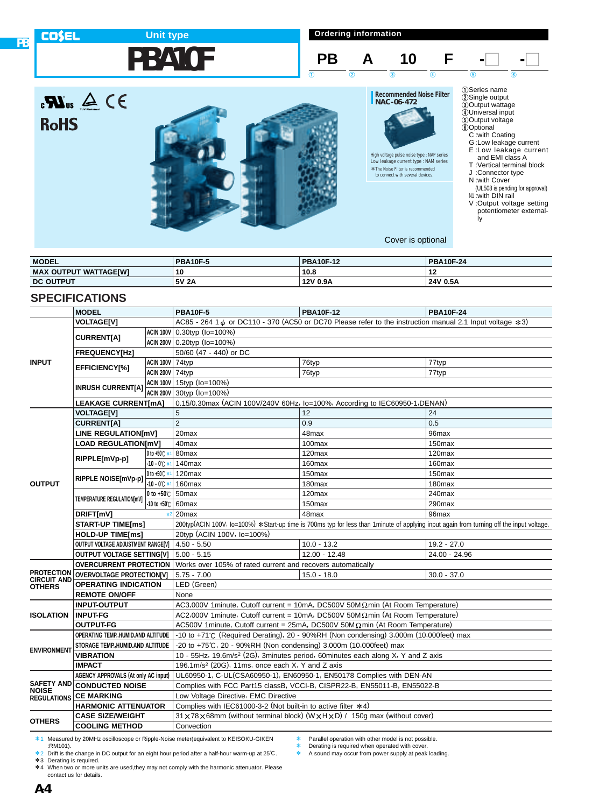#### **Ordering information COSEL Unit type PBA10F PB A 10 F -O**  $\begin{array}{ccc} 1 & 0 & 0 \end{array}$  (a) (b) (c) (c) 1Series name 2Single output  $\mathbf{R}$ us  $\mathbf{A} \in \mathbf{R}$ **Recommended Noise Filter NAC-06-472** 3Output wattage 4Universal input 5Output voltage 6Optional **RoHS** C :with Coating G :Low leakage current E :Low leakage current and EMI class A T :Vertical terminal block J :Connector type High voltage pulse noise type : NAP series Low leakage current type : NAM series \*The Noise Filter is recommended \*to connect with several devices. N :with Cover (UL508 is pending for approval) N1 :with DIN rail V :Output voltage setting potentiometer external-

Cover is optional

ly

| <b>MODEL</b>                      | <b>PBA10F-5</b> | <b>PBA10F-12</b> | <b>PBA10F-24</b> |  |
|-----------------------------------|-----------------|------------------|------------------|--|
| ( OUTPUT WATTAGEIWI<br><b>MAX</b> | 10              | 10.8             | <br>14           |  |
| <b>DC OUTPUT</b>                  | 5V 2A           | 12V 0.9A         | 24V 0.5A         |  |

## **SPECIFICATIONS**

**PB**

|                                   | <b>MODEL</b>                                     |                         | <b>PBA10F-5</b>                                                                         | <b>PBA10F-12</b>                                                                                                                         | <b>PBA10F-24</b>   |  |  |  |  |  |
|-----------------------------------|--------------------------------------------------|-------------------------|-----------------------------------------------------------------------------------------|------------------------------------------------------------------------------------------------------------------------------------------|--------------------|--|--|--|--|--|
|                                   | <b>VOLTAGE[V]</b>                                |                         |                                                                                         | AC85 - 264 1 ¢ or DC110 - 370 (AC50 or DC70 Please refer to the instruction manual 2.1 Input voltage *3)                                 |                    |  |  |  |  |  |
|                                   |                                                  |                         | ACIN 100V 0.30typ (Io=100%)                                                             |                                                                                                                                          |                    |  |  |  |  |  |
|                                   | <b>CURRENT[A]</b>                                |                         | ACIN 200V 0.20typ (Io=100%)                                                             |                                                                                                                                          |                    |  |  |  |  |  |
|                                   | <b>FREQUENCY[Hz]</b>                             |                         | 50/60 (47 - 440) or DC                                                                  |                                                                                                                                          |                    |  |  |  |  |  |
| <b>INPUT</b>                      |                                                  | <b>ACIN 100V 74typ</b>  |                                                                                         | 76typ                                                                                                                                    | 77typ              |  |  |  |  |  |
|                                   | <b>EFFICIENCY[%]</b>                             | <b>ACIN 200V 74typ</b>  |                                                                                         | 76typ                                                                                                                                    | 77typ              |  |  |  |  |  |
|                                   |                                                  |                         | ACIN 100V 15typ (Io=100%)                                                               |                                                                                                                                          |                    |  |  |  |  |  |
|                                   | <b>INRUSH CURRENT[A]</b>                         |                         | ACIN 200V 30typ (Io=100%)                                                               |                                                                                                                                          |                    |  |  |  |  |  |
|                                   | <b>LEAKAGE CURRENT[mA]</b>                       |                         | 0.15/0.30max (ACIN 100V/240V 60Hz, lo=100%, According to IEC60950-1, DENAN)             |                                                                                                                                          |                    |  |  |  |  |  |
|                                   | <b>VOLTAGE[V]</b>                                |                         | 5                                                                                       | 12                                                                                                                                       | 24                 |  |  |  |  |  |
|                                   | <b>CURRENT[A]</b>                                |                         | $\overline{2}$                                                                          | 0.9                                                                                                                                      | 0.5                |  |  |  |  |  |
|                                   | LINE REGULATION[mV]                              |                         | 20 <sub>max</sub>                                                                       | 48max                                                                                                                                    | 96max              |  |  |  |  |  |
|                                   | <b>LOAD REGULATION[mV]</b>                       |                         | 40max                                                                                   | 100max                                                                                                                                   | 150 <sub>max</sub> |  |  |  |  |  |
|                                   | RIPPLE[mVp-p]                                    | 0 to +50 $\degree$      | 80max                                                                                   | 120max                                                                                                                                   | 120max             |  |  |  |  |  |
|                                   |                                                  | $-10 - 0$ $+1$          | 140max                                                                                  | 160max                                                                                                                                   | 160max             |  |  |  |  |  |
|                                   | RIPPLE NOISE[mVp-p]                              | 0 to +50 $C$ $*1$       | 120max                                                                                  | 150max                                                                                                                                   | 150max             |  |  |  |  |  |
| <b>OUTPUT</b>                     |                                                  | $-10 - 0$ $+1$          | 160max                                                                                  | 180 <sub>max</sub>                                                                                                                       | 180 <sub>max</sub> |  |  |  |  |  |
|                                   | TEMPERATURE REGULATION[mV]                       | 0 to $+50^\circ$ 50 max |                                                                                         | 120max                                                                                                                                   | 240max             |  |  |  |  |  |
|                                   |                                                  | -10 to +50℃ 60max       |                                                                                         | 150 <sub>max</sub>                                                                                                                       | 290max             |  |  |  |  |  |
|                                   | DRIFT[mV]                                        | $*2$                    | 20max                                                                                   | 48max                                                                                                                                    | 96max              |  |  |  |  |  |
|                                   | <b>START-UP TIME[ms]</b>                         |                         |                                                                                         | 200typ(ACIN 100V, lo=100%) *Start-up time is 700ms typ for less than 1minute of applying input again from turning off the input voltage. |                    |  |  |  |  |  |
|                                   | <b>HOLD-UP TIME[ms]</b>                          |                         | 20typ (ACIN 100V, lo=100%)                                                              |                                                                                                                                          |                    |  |  |  |  |  |
|                                   | OUTPUT VOLTAGE ADJUSTMENT RANGE[V]   4.50 - 5.50 |                         |                                                                                         | $10.0 - 13.2$                                                                                                                            | $19.2 - 27.0$      |  |  |  |  |  |
|                                   | <b>OUTPUT VOLTAGE SETTING[V]</b>                 |                         | $5.00 - 5.15$                                                                           | 12.00 - 12.48                                                                                                                            | 24.00 - 24.96      |  |  |  |  |  |
|                                   | <b>OVERCURRENT PROTECTION</b>                    |                         | Works over 105% of rated current and recovers automatically                             |                                                                                                                                          |                    |  |  |  |  |  |
| PROTECTION<br><b>CIRCUIT AND</b>  | <b>OVERVOLTAGE PROTECTION[V]</b>                 |                         | $5.75 - 7.00$                                                                           | $15.0 - 18.0$                                                                                                                            | $30.0 - 37.0$      |  |  |  |  |  |
| <b>OTHERS</b>                     | <b>OPERATING INDICATION</b>                      |                         | LED (Green)                                                                             |                                                                                                                                          |                    |  |  |  |  |  |
|                                   | <b>REMOTE ON/OFF</b>                             |                         | None                                                                                    |                                                                                                                                          |                    |  |  |  |  |  |
|                                   | <b>INPUT-OUTPUT</b>                              |                         |                                                                                         | AC3,000V 1minute, Cutoff current = 10mA, DC500V 50M $\Omega$ min (At Room Temperature)                                                   |                    |  |  |  |  |  |
| <b>ISOLATION</b>                  | <b>INPUT-FG</b>                                  |                         | AC2,000V 1minute, Cutoff current = 10mA, DC500V 50M $\Omega$ min (At Room Temperature)  |                                                                                                                                          |                    |  |  |  |  |  |
|                                   | <b>OUTPUT-FG</b>                                 |                         | AC500V 1minute, Cutoff current = $25mA$ , DC500V 50M $\Omega$ min (At Room Temperature) |                                                                                                                                          |                    |  |  |  |  |  |
|                                   | OPERATING TEMP., HUMID.AND ALTITUDE              |                         |                                                                                         | -10 to +71 $\degree$ C (Required Derating), 20 - 90%RH (Non condensing) 3,000m (10,000feet) max                                          |                    |  |  |  |  |  |
| <b>ENVIRONMENT</b>                | STORAGE TEMP., HUMID.AND ALTITUDE                |                         | -20 to +75℃, 20 - 90%RH (Non condensing) 3,000m (10,000feet) max                        |                                                                                                                                          |                    |  |  |  |  |  |
|                                   | <b>VIBRATION</b>                                 |                         |                                                                                         | 10 - 55Hz, 19.6m/s <sup>2</sup> (2G), 3minutes period, 60minutes each along X, Y and Z axis                                              |                    |  |  |  |  |  |
|                                   | <b>IMPACT</b>                                    |                         | 196.1m/s <sup>2</sup> (20G), 11ms, once each X, Y and Z axis                            |                                                                                                                                          |                    |  |  |  |  |  |
|                                   | <b>AGENCY APPROVALS (At only AC input)</b>       |                         |                                                                                         | UL60950-1, C-UL(CSA60950-1), EN60950-1, EN50178 Complies with DEN-AN                                                                     |                    |  |  |  |  |  |
| <b>SAFETY AND</b><br><b>NOISE</b> | <b>CONDUCTED NOISE</b>                           |                         |                                                                                         | Complies with FCC Part15 classB, VCCI-B, CISPR22-B, EN55011-B, EN55022-B                                                                 |                    |  |  |  |  |  |
| <b>REGULATIONS</b>                | <b>CE MARKING</b>                                |                         | Low Voltage Directive, EMC Directive                                                    |                                                                                                                                          |                    |  |  |  |  |  |
|                                   | <b>HARMONIC ATTENUATOR</b>                       |                         | Complies with IEC61000-3-2 (Not built-in to active filter $*4$ )                        |                                                                                                                                          |                    |  |  |  |  |  |
| <b>OTHERS</b>                     | <b>CASE SIZE/WEIGHT</b>                          |                         |                                                                                         | 31 x 78 x 68mm (without terminal block) (W x H x D) / 150g max (without cover)                                                           |                    |  |  |  |  |  |
|                                   | <b>COOLING METHOD</b>                            |                         | Convection                                                                              |                                                                                                                                          |                    |  |  |  |  |  |

\*1 Measured by 20MHz oscilloscope or Ripple-Noise meter(equivalent to KEISOKU-GIKEN :RM101).

\*2 Drift is the change in DC output for an eight hour period after a half-hour warm-up at 25°C.

\*3 Derating is required. \*4 When two or more units are used,they may not comply with the harmonic attenuator. Please contact us for details.

\* Parallel operation with other model is not possible.

**Example 2** Derating is required when operated with cover.<br> **EXAMPLE 25 A Sound may occur from power supply at peak** 

A sound may occur from power supply at peak loading.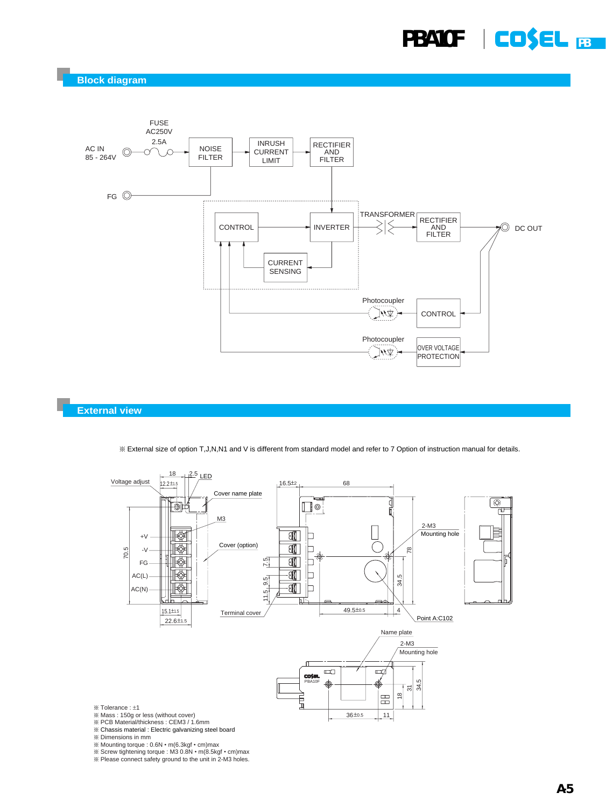**Block diagram**



#### **External view**

¶ External size of option T,J,N,N1 and V is different from standard model and refer to 7 Option of instruction manual for details.



¶ PCB Material/thickness : CEM3 / 1.6mm ¶ Chassis material : Electric galvanizing steel board

¶ Dimensions in mm

¶ Mounting torque : 0.6N • m(6.3kgf • cm)max

 $\%$  Screw tightening torque : M3 0.8N  $\cdot$  m(8.5kgf  $\cdot$  cm)max

 $%$  Please connect safety ground to the unit in 2-M3 holes.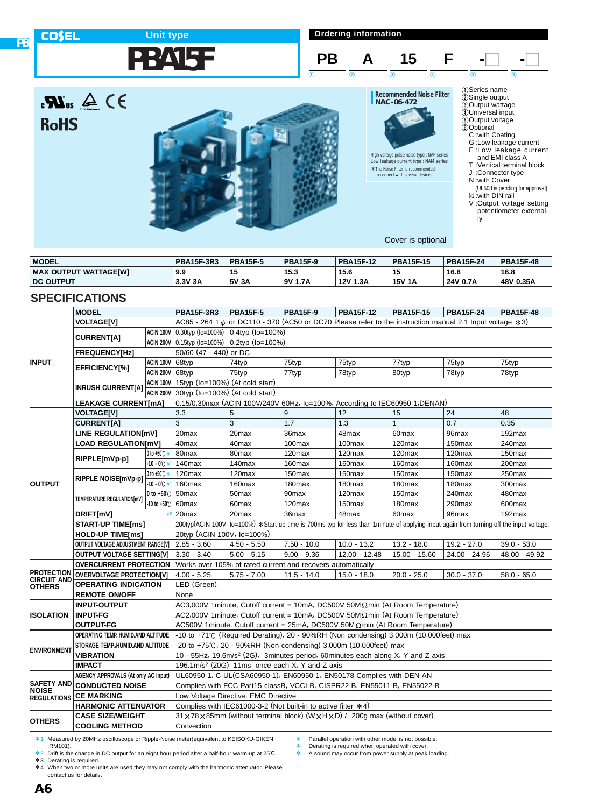

**Ordering information**





**Recommended Noise Filter NAC-06-472**

High voltage pulse noise type : NAP series Low leakage current type : NAM series \*The Noise Filter is recommended \*to connect with several devices.

E :Low leakage current and EMI class A T :Vertical terminal block J :Connector type N :with Cover

1Series name 2Single output

3Output wattage 4Universal input 5Output voltage 6Optional C :with Coating G :Low leakage current

- (UL508 is pending for approval) N1 :with DIN rail
- V :Output voltage setting potentiometer externally

Cover is optional

| <b>MODEL</b>                      | <b>PBA15F-3R3</b> | <b>PBA15F-5</b> | <b>PBA15F-9</b> | <b>PBA15F-12</b> | <b>PBA15F-15</b> | <b>PBA15F-24</b> | <b>PBA15F-48</b> |
|-----------------------------------|-------------------|-----------------|-----------------|------------------|------------------|------------------|------------------|
| <b>MAX</b><br>( OUTPUT WATTAGEIWI | 9.9               | 15              | 15.3            | 15.6             | 15               | 16.8             | 16.8             |
| <b>DC OUTPUT</b>                  | 3.3V 3A           | 5V 3A           | 9٧<br>1.7A      | 12V 1.3A         | <b>15V 1A</b>    | 24V 0.7A         | 48V 0.35A        |

# **SPECIFICATIONS**

 $\mathbf{R}$ us  $\mathbf{A} \in \mathbf{R}$ 

**COSEL** 

**RoHS** 

**PB**

|                                         | <b>MODEL</b>                                     |                                | <b>PBA15F-3R3</b>                                                           | <b>PBA15F-5</b>                                                                             | <b>PBA15F-9</b>    | <b>PBA15F-12</b>   | <b>PBA15F-15</b>   | <b>PBA15F-24</b>                                                                                                 | <b>PBA15F-48</b>                                                                                                                         |  |  |  |
|-----------------------------------------|--------------------------------------------------|--------------------------------|-----------------------------------------------------------------------------|---------------------------------------------------------------------------------------------|--------------------|--------------------|--------------------|------------------------------------------------------------------------------------------------------------------|------------------------------------------------------------------------------------------------------------------------------------------|--|--|--|
|                                         | <b>VOLTAGE[V]</b>                                |                                |                                                                             |                                                                                             |                    |                    |                    | AC85 - 264 1 $\phi$ or DC110 - 370 (AC50 or DC70 Please refer to the instruction manual 2.1 Input voltage $*3$ ) |                                                                                                                                          |  |  |  |
|                                         |                                                  |                                |                                                                             | $ ACIN 100V  0.30$ typ (lo=100%)   0.4typ (lo=100%)                                         |                    |                    |                    |                                                                                                                  |                                                                                                                                          |  |  |  |
|                                         | <b>CURRENT[A]</b>                                |                                |                                                                             | ACIN 200V 0.15typ (lo=100%) 0.2typ (lo=100%)                                                |                    |                    |                    |                                                                                                                  |                                                                                                                                          |  |  |  |
|                                         | <b>FREQUENCY[Hz]</b>                             |                                | 50/60 (47 - 440) or DC                                                      |                                                                                             |                    |                    |                    |                                                                                                                  |                                                                                                                                          |  |  |  |
| <b>INPUT</b>                            |                                                  | ACIN 100V 68typ                |                                                                             | 74typ                                                                                       | 75typ              | 75typ              | 77typ              | 75typ                                                                                                            | 75typ                                                                                                                                    |  |  |  |
|                                         | EFFICIENCY[%]                                    | <b>ACIN 200V 68typ</b>         |                                                                             | 75typ                                                                                       | 77typ              | 78typ              | 80typ              | 78typ                                                                                                            | 78typ                                                                                                                                    |  |  |  |
|                                         |                                                  | ACIN 100V                      | 15typ (lo=100%) (At cold start)                                             |                                                                                             |                    |                    |                    |                                                                                                                  |                                                                                                                                          |  |  |  |
|                                         | <b>INRUSH CURRENT[A]</b>                         | ACIN 200V                      | 30typ (Io=100%) (At cold start)                                             |                                                                                             |                    |                    |                    |                                                                                                                  |                                                                                                                                          |  |  |  |
|                                         | <b>LEAKAGE CURRENT[mA]</b>                       |                                | 0.15/0.30max (ACIN 100V/240V 60Hz, lo=100%, According to IEC60950-1, DENAN) |                                                                                             |                    |                    |                    |                                                                                                                  |                                                                                                                                          |  |  |  |
|                                         | <b>VOLTAGE[V]</b>                                |                                | 3.3                                                                         | 5                                                                                           | 9                  | 12                 | 15                 | 24                                                                                                               | 48                                                                                                                                       |  |  |  |
|                                         | <b>CURRENT[A]</b>                                |                                | 3                                                                           | 3                                                                                           | 1.7                | 1.3                | $\mathbf{1}$       | 0.7                                                                                                              | 0.35                                                                                                                                     |  |  |  |
|                                         | <b>LINE REGULATION[mV]</b>                       |                                | 20max                                                                       | 20max                                                                                       | 36max              | 48max              | 60 <sub>max</sub>  | 96max                                                                                                            | 192max                                                                                                                                   |  |  |  |
|                                         | <b>LOAD REGULATION[mV]</b>                       |                                | 40max                                                                       | 40 <sub>max</sub>                                                                           | 100max             | 100max             | 120max             | 150 <sub>max</sub>                                                                                               | 240max                                                                                                                                   |  |  |  |
|                                         | RIPPLE[mVp-p]                                    | $ 0 \text{ to } +50 \text{ C}$ | 80max                                                                       | 80max                                                                                       | 120 <sub>max</sub> | 120max             | 120max             | 120max                                                                                                           | 150max                                                                                                                                   |  |  |  |
|                                         |                                                  | $-10 - 0$ $+$                  | 140 <sub>max</sub>                                                          | 140 <sub>max</sub>                                                                          | 160max             | 160max             | 160max             | 160max                                                                                                           | 200max                                                                                                                                   |  |  |  |
|                                         | RIPPLE NOISE[mVp-p]                              | $0$ to +50 $\degree$           | 120max                                                                      | 120max                                                                                      | 150max             | 150max             | 150max             | 150 <sub>max</sub>                                                                                               | 250max                                                                                                                                   |  |  |  |
| <b>OUTPUT</b>                           |                                                  | $-10 - 0$ $\degree$            | 160max                                                                      | 160max                                                                                      | 180max             | 180max             | 180max             | 180max                                                                                                           | 300max                                                                                                                                   |  |  |  |
|                                         | TEMPERATURE REGULATIONImV1                       | 0 to $+50^\circ$ .             | 50 <sub>max</sub>                                                           | 50 <sub>max</sub>                                                                           | 90max              | 120max             | 150max             | 240max                                                                                                           | 480max                                                                                                                                   |  |  |  |
|                                         |                                                  | $-10$ to $+50^{\circ}$ C       | 60max                                                                       | 60 <sub>max</sub>                                                                           | 120max             | 150 <sub>max</sub> | 180 <sub>max</sub> | 290max                                                                                                           | 600max                                                                                                                                   |  |  |  |
|                                         | DRIFT[mV]                                        | $*2$                           | 20 <sub>max</sub>                                                           | 20 <sub>max</sub>                                                                           | 36max              | 48max              | 60max              | 96max                                                                                                            | 192max                                                                                                                                   |  |  |  |
|                                         | <b>START-UP TIME[ms]</b>                         |                                |                                                                             |                                                                                             |                    |                    |                    |                                                                                                                  | 200typ(ACIN 100V, lo=100%) *Start-up time is 700ms typ for less than 1minute of applying input again from turning off the input voltage. |  |  |  |
|                                         | <b>HOLD-UP TIME[ms]</b>                          |                                | 20typ (ACIN 100V, lo=100%)                                                  |                                                                                             |                    |                    |                    |                                                                                                                  |                                                                                                                                          |  |  |  |
|                                         | OUTPUT VOLTAGE ADJUSTMENT RANGE[V]   2.85 - 3.60 |                                |                                                                             | $4.50 - 5.50$                                                                               | $7.50 - 10.0$      | $10.0 - 13.2$      | $13.2 - 18.0$      | $19.2 - 27.0$                                                                                                    | $39.0 - 53.0$                                                                                                                            |  |  |  |
|                                         | <b>OUTPUT VOLTAGE SETTING[V]</b>                 |                                | $3.30 - 3.40$                                                               | $5.00 - 5.15$                                                                               | $9.00 - 9.36$      | 12.00 - 12.48      | 15.00 - 15.60      | 24.00 - 24.96                                                                                                    | 48.00 - 49.92                                                                                                                            |  |  |  |
|                                         | <b>OVERCURRENT PROTECTION</b>                    |                                |                                                                             | Works over 105% of rated current and recovers automatically                                 |                    |                    |                    |                                                                                                                  |                                                                                                                                          |  |  |  |
| <b>PROTECTION</b><br><b>CIRCUIT AND</b> | <b>OVERVOLTAGE PROTECTION[V]</b>                 |                                | $4.00 - 5.25$                                                               | $5.75 - 7.00$                                                                               | $11.5 - 14.0$      | $15.0 - 18.0$      | $20.0 - 25.0$      | $30.0 - 37.0$                                                                                                    | $58.0 - 65.0$                                                                                                                            |  |  |  |
| <b>OTHERS</b>                           | <b>OPERATING INDICATION</b>                      |                                | LED (Green)                                                                 |                                                                                             |                    |                    |                    |                                                                                                                  |                                                                                                                                          |  |  |  |
|                                         | <b>REMOTE ON/OFF</b>                             |                                | None                                                                        |                                                                                             |                    |                    |                    |                                                                                                                  |                                                                                                                                          |  |  |  |
|                                         | <b>INPUT-OUTPUT</b>                              |                                |                                                                             | AC3,000V 1minute, Cutoff current = 10mA, DC500V 50M $\Omega$ min (At Room Temperature)      |                    |                    |                    |                                                                                                                  |                                                                                                                                          |  |  |  |
| <b>ISOLATION</b>                        | <b>INPUT-FG</b>                                  |                                |                                                                             | AC2,000V 1minute, Cutoff current = 10mA, DC500V 50M $\Omega$ min (At Room Temperature)      |                    |                    |                    |                                                                                                                  |                                                                                                                                          |  |  |  |
|                                         | <b>OUTPUT-FG</b>                                 |                                |                                                                             | AC500V 1minute, Cutoff current = 25mA, DC500V 50M $\Omega$ min (At Room Temperature)        |                    |                    |                    |                                                                                                                  |                                                                                                                                          |  |  |  |
|                                         | OPERATING TEMP., HUMID.AND ALTITUDE              |                                |                                                                             | -10 to +71°C (Required Derating), 20 - 90%RH (Non condensing) 3,000m (10,000feet) max       |                    |                    |                    |                                                                                                                  |                                                                                                                                          |  |  |  |
| <b>ENVIRONMENT</b>                      | STORAGE TEMP., HUMID.AND ALTITUDE                |                                |                                                                             | -20 to +75℃, 20 - 90%RH (Non condensing) 3,000m (10,000feet) max                            |                    |                    |                    |                                                                                                                  |                                                                                                                                          |  |  |  |
|                                         | <b>VIBRATION</b>                                 |                                |                                                                             | 10 - 55Hz, 19.6m/s <sup>2</sup> (2G), 3minutes period, 60minutes each along X, Y and Z axis |                    |                    |                    |                                                                                                                  |                                                                                                                                          |  |  |  |
|                                         | <b>IMPACT</b>                                    |                                |                                                                             | 196.1m/s <sup>2</sup> (20G), 11ms, once each $X$ , Y and Z axis                             |                    |                    |                    |                                                                                                                  |                                                                                                                                          |  |  |  |
|                                         | AGENCY APPROVALS (At only AC input)              |                                |                                                                             | UL60950-1, C-UL(CSA60950-1), EN60950-1, EN50178 Complies with DEN-AN                        |                    |                    |                    |                                                                                                                  |                                                                                                                                          |  |  |  |
| <b>SAFETY AND</b><br><b>NOISE</b>       | <b>CONDUCTED NOISE</b>                           |                                |                                                                             | Complies with FCC Part15 classB, VCCI-B, CISPR22-B, EN55011-B, EN55022-B                    |                    |                    |                    |                                                                                                                  |                                                                                                                                          |  |  |  |
| <b>REGULATIONS</b>                      | <b>CE MARKING</b>                                |                                |                                                                             | Low Voltage Directive, EMC Directive                                                        |                    |                    |                    |                                                                                                                  |                                                                                                                                          |  |  |  |
|                                         | <b>HARMONIC ATTENUATOR</b>                       |                                |                                                                             | Complies with IEC61000-3-2 (Not built-in to active filter *4)                               |                    |                    |                    |                                                                                                                  |                                                                                                                                          |  |  |  |
| <b>OTHERS</b>                           | <b>CASE SIZE/WEIGHT</b>                          |                                |                                                                             | 31 x 78 x 85mm (without terminal block) (W x H x D) / 200g max (without cover)              |                    |                    |                    |                                                                                                                  |                                                                                                                                          |  |  |  |
|                                         | <b>COOLING METHOD</b>                            |                                | Convection                                                                  |                                                                                             |                    |                    |                    |                                                                                                                  |                                                                                                                                          |  |  |  |

\*1 Measured by 20MHz oscilloscope or Ripple-Noise meter(equivalent to KEISOKU-GIKEN :RM101).

\*2 Drift is the change in DC output for an eight hour period after a half-hour warm-up at 25°C.

\*3 Derating is required. \*4 When two or more units are used,they may not comply with the harmonic attenuator. Please contact us for details.

\* Parallel operation with other model is not possible.

**Example 2** Derating is required when operated with cover.<br> **EXAMPLE 25 A Sound may occur from power supply at peak** 

A sound may occur from power supply at peak loading.

**A-6**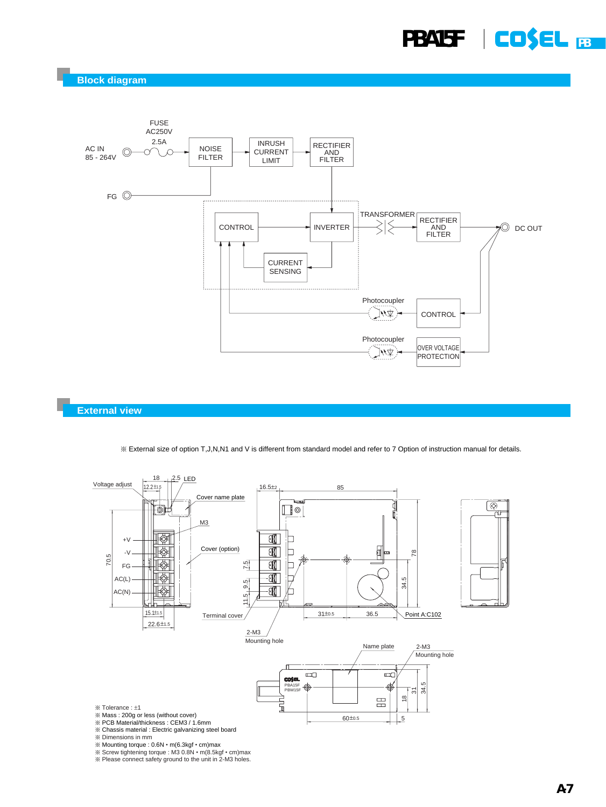**Block diagram**



#### **External view**

¶ External size of option T,J,N,N1 and V is different from standard model and refer to 7 Option of instruction manual for details.



<sup>※</sup> Mounting torque : 0.6N • m(6.3kgf • cm)max<br>※ Screw tightening torque : M3 0.8N • m(8.5kgf • cm)max<br>※ Please connect safety ground to the unit in 2-M3 holes.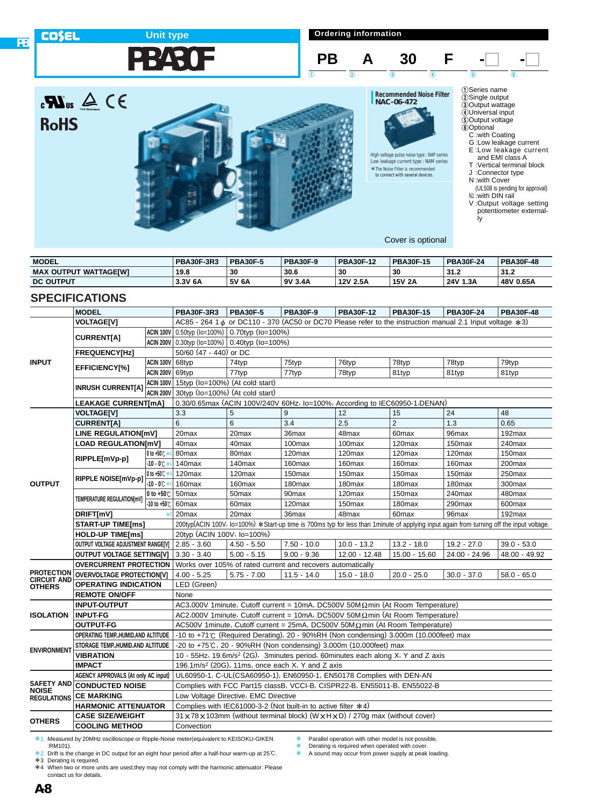

**Ordering information**







**Recommended Noise Filter NAC-06-472**

**PB A 30 F -O** 

 $\begin{array}{ccc} 1 & 0 & 0 \end{array}$  (a) (b) (c) (c)

High voltage pulse noise type : NAP series Low leakage current type : NAM series \*The Noise Filter is recommended \*to connect with several devices.

E :Low leakage current and EMI class A T :Vertical terminal block J :Connector type N :with Cover (UL508 is pending for approval)

1Series name 2Single output

3Output wattage 4Universal input 5Output voltage 6Optional C :with Coating G :Low leakage current

N1 :with DIN rail V :Output voltage setting potentiometer externally

Cover is optional

| <b>MODEL</b>                 | <b>PBA30F-3R3</b> | <b>PBA30F-5</b> | <b>PBA30F-9</b> | <b>PBA30F-12</b> | <b>PBA30F-15</b> | <b>PBA30F-24</b> | <b>PBA30F-48</b> |
|------------------------------|-------------------|-----------------|-----------------|------------------|------------------|------------------|------------------|
| <b>MAX OUTPUT WATTAGEIWI</b> | 19.8              | 30              | 30.6            | 30               | 30               | 31.2             | 31.2             |
| <b>DC OUTPUT</b>             | 3.3V 6A           | 5V 6A           | 9V 3.4A         | 12V 2.5A         | 15V 2A           | 24V 1.3A         | 48V 0.65A        |

# **SPECIFICATIONS**

**PB**

**COSEL** 

**RoHS** 

|                                         | <b>MODEL</b>                                     |                                | <b>PBA30F-3R3</b>                                                           | <b>PBA30F-5</b>                                                                             | <b>PBA30F-9</b>    | <b>PBA30F-12</b>   | <b>PBA30F-15</b>   | <b>PBA30F-24</b>                                                                                                 | <b>PBA30F-48</b>                                                                                                                         |  |  |  |
|-----------------------------------------|--------------------------------------------------|--------------------------------|-----------------------------------------------------------------------------|---------------------------------------------------------------------------------------------|--------------------|--------------------|--------------------|------------------------------------------------------------------------------------------------------------------|------------------------------------------------------------------------------------------------------------------------------------------|--|--|--|
|                                         | <b>VOLTAGE[V]</b>                                |                                |                                                                             |                                                                                             |                    |                    |                    | AC85 - 264 1 $\phi$ or DC110 - 370 (AC50 or DC70 Please refer to the instruction manual 2.1 Input voltage $*3$ ) |                                                                                                                                          |  |  |  |
|                                         |                                                  |                                | $ ACIN 100V  0.50$ typ (lo=100%) 0.70typ (lo=100%)                          |                                                                                             |                    |                    |                    |                                                                                                                  |                                                                                                                                          |  |  |  |
|                                         | <b>CURRENT[A]</b>                                |                                | $ ACIN 200V  0.30$ typ (lo=100%) 0.40typ (lo=100%)                          |                                                                                             |                    |                    |                    |                                                                                                                  |                                                                                                                                          |  |  |  |
|                                         | <b>FREQUENCY[Hz]</b>                             |                                | 50/60 (47 - 440) or DC                                                      |                                                                                             |                    |                    |                    |                                                                                                                  |                                                                                                                                          |  |  |  |
| <b>INPUT</b>                            |                                                  | ACIN 100V 68typ                |                                                                             | 74typ                                                                                       | 75typ              | 76typ              | 78typ              | 78typ                                                                                                            | 79typ                                                                                                                                    |  |  |  |
|                                         | EFFICIENCY[%]                                    | ACIN 200V 69typ                |                                                                             | 77typ                                                                                       | 77typ              | 78typ              | 81typ              | 81typ                                                                                                            | 81typ                                                                                                                                    |  |  |  |
|                                         |                                                  | ACIN 100V                      | 15typ (lo=100%) (At cold start)                                             |                                                                                             |                    |                    |                    |                                                                                                                  |                                                                                                                                          |  |  |  |
|                                         | <b>INRUSH CURRENT[A]</b>                         | ACIN 200V                      | 30typ (Io=100%) (At cold start)                                             |                                                                                             |                    |                    |                    |                                                                                                                  |                                                                                                                                          |  |  |  |
|                                         | <b>LEAKAGE CURRENT[mA]</b>                       |                                | 0.30/0.65max (ACIN 100V/240V 60Hz, lo=100%, According to IEC60950-1, DENAN) |                                                                                             |                    |                    |                    |                                                                                                                  |                                                                                                                                          |  |  |  |
|                                         | <b>VOLTAGE[V]</b>                                |                                | 3.3                                                                         | 5                                                                                           | 9                  | 12                 | 15                 | 24                                                                                                               | 48                                                                                                                                       |  |  |  |
|                                         | <b>CURRENT[A]</b>                                |                                | 6                                                                           | 6                                                                                           | 3.4                | 2.5                | $\overline{2}$     | 1.3                                                                                                              | 0.65                                                                                                                                     |  |  |  |
|                                         | <b>LINE REGULATION[mV]</b>                       |                                | 20max                                                                       | 20max                                                                                       | 36max              | 48max              | 60 <sub>max</sub>  | 96max                                                                                                            | 192max                                                                                                                                   |  |  |  |
|                                         | <b>LOAD REGULATION[mV]</b>                       |                                | 40max                                                                       | 40 <sub>max</sub>                                                                           | 100max             | 100max             | 120max             | 150 <sub>max</sub>                                                                                               | 240max                                                                                                                                   |  |  |  |
|                                         | RIPPLE[mVp-p]                                    | $ 0 \text{ to } +50 \text{ C}$ | 80max                                                                       | 80 <sub>max</sub>                                                                           | 120 <sub>max</sub> | 120max             | 120max             | 120max                                                                                                           | 150max                                                                                                                                   |  |  |  |
|                                         |                                                  | $-10 - 0$ $+$                  | 140 <sub>max</sub>                                                          | 140 <sub>max</sub>                                                                          | 160max             | 160max             | 160max             | 160max                                                                                                           | 200max                                                                                                                                   |  |  |  |
|                                         | RIPPLE NOISE[mVp-p]                              | $0$ to +50 $\degree$           | 120max                                                                      | 120max                                                                                      | 150max             | 150max             | 150max             | 150 <sub>max</sub>                                                                                               | 250max                                                                                                                                   |  |  |  |
| <b>OUTPUT</b>                           |                                                  | $-10 - 0$ $\degree$            | 160max                                                                      | 160max                                                                                      | 180max             | 180max             | 180max             | 180max                                                                                                           | 300max                                                                                                                                   |  |  |  |
|                                         | TEMPERATURE REGULATIONImV1                       | 0 to $+50^\circ$ .             | 50 <sub>max</sub>                                                           | 50 <sub>max</sub>                                                                           | 90max              | 120max             | 150max             | 240max                                                                                                           | 480max                                                                                                                                   |  |  |  |
|                                         |                                                  | $-10$ to $+50^{\circ}$ C       | 60max                                                                       | 60 <sub>max</sub>                                                                           | 120max             | 150 <sub>max</sub> | 180 <sub>max</sub> | 290max                                                                                                           | 600max                                                                                                                                   |  |  |  |
|                                         | DRIFT[mV]                                        | $*2$                           | 20 <sub>max</sub>                                                           | 20 <sub>max</sub>                                                                           | 36max              | 48max              | 60max              | 96max                                                                                                            | 192max                                                                                                                                   |  |  |  |
|                                         | <b>START-UP TIME[ms]</b>                         |                                |                                                                             |                                                                                             |                    |                    |                    |                                                                                                                  | 200typ(ACIN 100V, lo=100%) *Start-up time is 700ms typ for less than 1minute of applying input again from turning off the input voltage. |  |  |  |
|                                         | <b>HOLD-UP TIME[ms]</b>                          |                                | 20typ (ACIN 100V, lo=100%)                                                  |                                                                                             |                    |                    |                    |                                                                                                                  |                                                                                                                                          |  |  |  |
|                                         | OUTPUT VOLTAGE ADJUSTMENT RANGE[V]   2.85 - 3.60 |                                |                                                                             | $4.50 - 5.50$                                                                               | $7.50 - 10.0$      | $10.0 - 13.2$      | $13.2 - 18.0$      | $19.2 - 27.0$                                                                                                    | $39.0 - 53.0$                                                                                                                            |  |  |  |
|                                         | <b>OUTPUT VOLTAGE SETTING[V]</b>                 |                                | $3.30 - 3.40$                                                               | $5.00 - 5.15$                                                                               | $9.00 - 9.36$      | 12.00 - 12.48      | 15.00 - 15.60      | 24.00 - 24.96                                                                                                    | 48.00 - 49.92                                                                                                                            |  |  |  |
|                                         | <b>OVERCURRENT PROTECTION</b>                    |                                |                                                                             | Works over 105% of rated current and recovers automatically                                 |                    |                    |                    |                                                                                                                  |                                                                                                                                          |  |  |  |
| <b>PROTECTION</b><br><b>CIRCUIT AND</b> | <b>OVERVOLTAGE PROTECTION[V]</b>                 |                                | $4.00 - 5.25$                                                               | $5.75 - 7.00$                                                                               | $11.5 - 14.0$      | $15.0 - 18.0$      | $20.0 - 25.0$      | $30.0 - 37.0$                                                                                                    | $58.0 - 65.0$                                                                                                                            |  |  |  |
| <b>OTHERS</b>                           | <b>OPERATING INDICATION</b>                      |                                | LED (Green)                                                                 |                                                                                             |                    |                    |                    |                                                                                                                  |                                                                                                                                          |  |  |  |
|                                         | <b>REMOTE ON/OFF</b>                             |                                | None                                                                        |                                                                                             |                    |                    |                    |                                                                                                                  |                                                                                                                                          |  |  |  |
|                                         | <b>INPUT-OUTPUT</b>                              |                                |                                                                             | AC3,000V 1minute, Cutoff current = 10mA, DC500V 50M $\Omega$ min (At Room Temperature)      |                    |                    |                    |                                                                                                                  |                                                                                                                                          |  |  |  |
| <b>ISOLATION</b>                        | <b>INPUT-FG</b>                                  |                                |                                                                             | AC2,000V 1minute, Cutoff current = 10mA, DC500V 50M $\Omega$ min (At Room Temperature)      |                    |                    |                    |                                                                                                                  |                                                                                                                                          |  |  |  |
|                                         | <b>OUTPUT-FG</b>                                 |                                |                                                                             | AC500V 1minute, Cutoff current = 25mA, DC500V 50M $\Omega$ min (At Room Temperature)        |                    |                    |                    |                                                                                                                  |                                                                                                                                          |  |  |  |
|                                         | OPERATING TEMP., HUMID.AND ALTITUDE              |                                |                                                                             | -10 to +71°C (Required Derating), 20 - 90%RH (Non condensing) 3,000m (10,000feet) max       |                    |                    |                    |                                                                                                                  |                                                                                                                                          |  |  |  |
| <b>ENVIRONMENT</b>                      | STORAGE TEMP., HUMID.AND ALTITUDE                |                                |                                                                             | -20 to +75℃, 20 - 90%RH (Non condensing) 3,000m (10,000feet) max                            |                    |                    |                    |                                                                                                                  |                                                                                                                                          |  |  |  |
|                                         | <b>VIBRATION</b>                                 |                                |                                                                             | 10 - 55Hz, 19.6m/s <sup>2</sup> (2G), 3minutes period, 60minutes each along X, Y and Z axis |                    |                    |                    |                                                                                                                  |                                                                                                                                          |  |  |  |
|                                         | <b>IMPACT</b>                                    |                                |                                                                             | 196.1m/s <sup>2</sup> (20G), 11ms, once each $X$ , Y and Z axis                             |                    |                    |                    |                                                                                                                  |                                                                                                                                          |  |  |  |
|                                         | AGENCY APPROVALS (At only AC input)              |                                |                                                                             | UL60950-1, C-UL(CSA60950-1), EN60950-1, EN50178 Complies with DEN-AN                        |                    |                    |                    |                                                                                                                  |                                                                                                                                          |  |  |  |
| <b>SAFETY AND</b><br><b>NOISE</b>       | <b>CONDUCTED NOISE</b>                           |                                |                                                                             | Complies with FCC Part15 classB, VCCI-B, CISPR22-B, EN55011-B, EN55022-B                    |                    |                    |                    |                                                                                                                  |                                                                                                                                          |  |  |  |
| <b>REGULATIONS</b>                      | <b>CE MARKING</b>                                |                                |                                                                             | Low Voltage Directive, EMC Directive                                                        |                    |                    |                    |                                                                                                                  |                                                                                                                                          |  |  |  |
|                                         | <b>HARMONIC ATTENUATOR</b>                       |                                |                                                                             | Complies with IEC61000-3-2 (Not built-in to active filter *4)                               |                    |                    |                    |                                                                                                                  |                                                                                                                                          |  |  |  |
| <b>OTHERS</b>                           | <b>CASE SIZE/WEIGHT</b>                          |                                |                                                                             | 31 x 78 x 103mm (without terminal block) (W x H x D) / 270g max (without cover)             |                    |                    |                    |                                                                                                                  |                                                                                                                                          |  |  |  |
|                                         | <b>COOLING METHOD</b>                            |                                | Convection                                                                  |                                                                                             |                    |                    |                    |                                                                                                                  |                                                                                                                                          |  |  |  |

\*1 Measured by 20MHz oscilloscope or Ripple-Noise meter(equivalent to KEISOKU-GIKEN :RM101).

\*2 Drift is the change in DC output for an eight hour period after a half-hour warm-up at 25°C.

\*3 Derating is required. \*4 When two or more units are used,they may not comply with the harmonic attenuator. Please contact us for details.

\* Parallel operation with other model is not possible.

**Example 2** Derating is required when operated with cover.<br> **EXAMPLE 25 A Sound may occur from power supply at peak** 

A sound may occur from power supply at peak loading.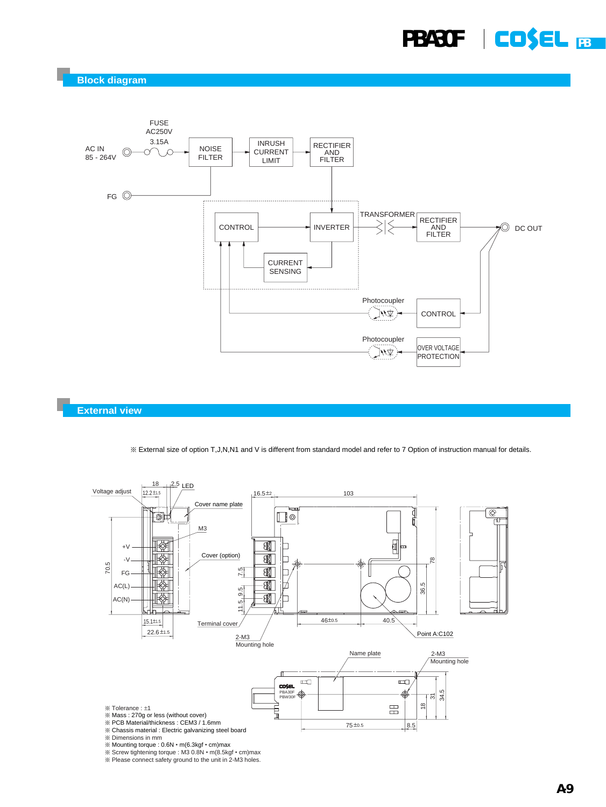**Block diagram**



**External view**

¶ External size of option T,J,N,N1 and V is different from standard model and refer to 7 Option of instruction manual for details.

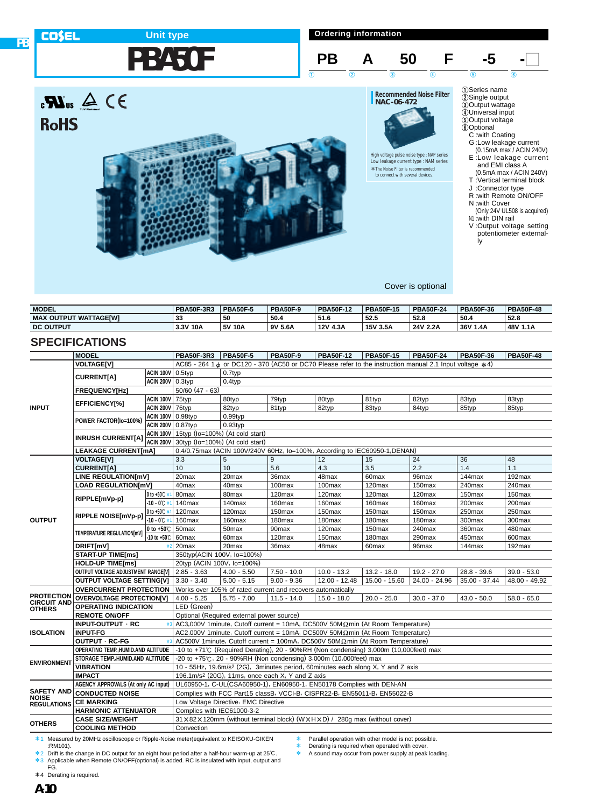



High voltage pulse noise type : NAP series Low leakage current type : NAM series \*The Noise Filter is recommended \*to connect with several devices.

| $(0.15mA \, max / ACIN \, 240V)$ |
|----------------------------------|
| E:Low leakage current            |
| and EMI class A                  |
| $(0.5mA$ may $(ACIN 240V)$       |

- (0.5mA max / ACIN 240V) T :Vertical terminal block
- J :Connector type
- R :with Remote ON/OFF
- N :with Cover (Only 24V UL508 is acquired)
- N<sub>1</sub>:with DIN rail V :Output voltage setting
- potentiometer externally

Cover is optional

| <b>MODEL</b>                      | <b>PBA50F-3R3</b> | <b>PBA50F-5</b> | <b>PBA50F-9</b> | <b>PBA50F-12</b> | <b>PBA50F-15</b> | <b>PBA50F-24</b> | <b>PBA50F-36</b> | <b>PBA50F-48</b> |
|-----------------------------------|-------------------|-----------------|-----------------|------------------|------------------|------------------|------------------|------------------|
| <b>MAX</b><br>( OUTPUT WATTAGEIWI | 33                | 50              | 50.4            | 51.6             | 52.5             | 52.8             | 50.4             | 52.8             |
| <b>DC OUTPUT</b>                  | 3.3V 10A          | 5V 10A          | 9V 5.6A         | 12V 4.3A         | 15V 3.5A         | 24V 2.2A         | 36V 1.4A         | 48V 1.1A         |

# **SPECIFICATIONS**

 $\mathbf{R}$ us  $\mathbf{A} \in \mathbf{R}$ 

**RoHS** 

|                    | <b>MODEL</b>                               |                         | <b>PBA50F-3R3</b>                           | <b>PBA50F-5</b>                                                            | <b>PBA50F-9</b>                                                                                          | <b>PBA50F-12</b>   | <b>PBA50F-15</b>   | <b>PBA50F-24</b>   | <b>PBA50F-36</b> | <b>PBA50F-48</b> |  |  |  |
|--------------------|--------------------------------------------|-------------------------|---------------------------------------------|----------------------------------------------------------------------------|----------------------------------------------------------------------------------------------------------|--------------------|--------------------|--------------------|------------------|------------------|--|--|--|
|                    | <b>VOLTAGE[V]</b>                          |                         |                                             |                                                                            | AC85 - 264 1 & or DC120 - 370 (AC50 or DC70 Please refer to the instruction manual 2.1 Input voltage *4) |                    |                    |                    |                  |                  |  |  |  |
|                    | <b>CURRENT[A]</b>                          | <b>ACIN 100V</b> 0.5typ |                                             | 0.7typ                                                                     |                                                                                                          |                    |                    |                    |                  |                  |  |  |  |
|                    |                                            | <b>ACIN 200V</b> 0.3typ |                                             | $0.4$ typ                                                                  |                                                                                                          |                    |                    |                    |                  |                  |  |  |  |
|                    | <b>FREQUENCY[Hz]</b>                       |                         | $50/60$ (47 - 63)                           |                                                                            |                                                                                                          |                    |                    |                    |                  |                  |  |  |  |
|                    | <b>EFFICIENCY[%]</b>                       | <b>ACIN 100V 75typ</b>  |                                             | 80typ                                                                      | 79typ                                                                                                    | 80typ              | 81typ              | 82typ              | 83typ            | 83typ            |  |  |  |
| <b>INPUT</b>       |                                            | <b>ACIN 200V 76typ</b>  |                                             | 82typ                                                                      | 81typ                                                                                                    | 82typ              | 83typ              | 84typ              | 85typ            | 85typ            |  |  |  |
|                    | POWER FACTOR(Io=100%)                      | ACIN 100V 0.98typ       |                                             | $0.99$ typ                                                                 |                                                                                                          |                    |                    |                    |                  |                  |  |  |  |
|                    |                                            | ACIN 200V 0.87typ       |                                             | $0.93$ typ                                                                 |                                                                                                          |                    |                    |                    |                  |                  |  |  |  |
|                    | <b>INRUSH CURRENT[A]</b>                   |                         | $ACIN 100V$ 15typ (lo=100%) (At cold start) |                                                                            |                                                                                                          |                    |                    |                    |                  |                  |  |  |  |
|                    |                                            |                         | ACIN 200V 30typ (Io=100%) (At cold start)   |                                                                            |                                                                                                          |                    |                    |                    |                  |                  |  |  |  |
|                    | <b>LEAKAGE CURRENT[mA]</b>                 |                         |                                             | 0.4/0.75max (ACIN 100V/240V 60Hz, lo=100%, According to IEC60950-1, DENAN) |                                                                                                          |                    |                    |                    |                  |                  |  |  |  |
|                    | <b>VOLTAGE[V]</b>                          |                         | 3.3<br>10                                   | 5                                                                          | 9                                                                                                        | 12                 | 15                 | 24                 | 36               | 48               |  |  |  |
|                    | <b>CURRENT[A]</b>                          |                         |                                             | 10                                                                         | 5.6                                                                                                      | 4.3                | 3.5                | 2.2                | 1.4              | 1.1              |  |  |  |
|                    | LINE REGULATION[mV]                        |                         | 20max                                       | 20max                                                                      | 36max                                                                                                    | 48max              | 60max              | 96max              | 144max           | 192max           |  |  |  |
|                    | <b>LOAD REGULATION[mV]</b>                 |                         | 40max                                       | 40max                                                                      | 100max                                                                                                   | 100max             | 120max             | 150max             | 240max           | 240max           |  |  |  |
|                    | RIPPLE[mVp-p]                              | 0 to +50℃ *             | 80max                                       | 80max                                                                      | 120max                                                                                                   | 120max             | 120max             | 120max             | 150max           | 150max           |  |  |  |
|                    |                                            | $-10 - 0^{\circ}$       | 140max                                      | 140max                                                                     | 160max                                                                                                   | 160max             | 160max             | 160max             | 200max           | 200max           |  |  |  |
|                    | RIPPLE NOISE[mVp-p]                        | 0 to +50 $C$ *          | 120max                                      | 120max                                                                     | 150max                                                                                                   | 150 <sub>max</sub> | 150 <sub>max</sub> | 150 <sub>max</sub> | 250max           | 250max           |  |  |  |
| <b>OUTPUT</b>      |                                            | -10 - 0℃ *              | 160max                                      | 160max                                                                     | 180max                                                                                                   | 180max             | 180max             | 180 <sub>max</sub> | 300max           | 300max           |  |  |  |
|                    | TEMPERATURE REGULATION[mV]                 | 0 to $+50^\circ$ .      | 50 <sub>max</sub>                           | 50 <sub>max</sub>                                                          | 90 <sub>max</sub>                                                                                        | 120 <sub>max</sub> | 150 <sub>max</sub> | 240max             | 360max           | 480max           |  |  |  |
|                    |                                            | -10 to +50℃             | 60 <sub>max</sub>                           | 60 <sub>max</sub>                                                          | 120max                                                                                                   | 150max             | 180max             | 290max             | 450max           | 600max           |  |  |  |
|                    | DRIFT[mV]                                  |                         | 20max                                       | 20 <sub>max</sub>                                                          | 36max                                                                                                    | 48max              | 60max              | 96max              | 144max           | 192max           |  |  |  |
|                    | <b>START-UP TIME[ms]</b>                   |                         | 350typ(ACIN 100V, lo=100%)                  |                                                                            |                                                                                                          |                    |                    |                    |                  |                  |  |  |  |
|                    | <b>HOLD-UP TIME[ms]</b>                    |                         | 20typ (ACIN 100V, Io=100%)                  |                                                                            |                                                                                                          |                    |                    |                    |                  |                  |  |  |  |
|                    | OUTPUT VOLTAGE ADJUSTMENT RANGE[V]         |                         | $2.85 - 3.63$                               | $4.00 - 5.50$                                                              | $7.50 - 10.0$                                                                                            | $10.0 - 13.2$      | $13.2 - 18.0$      | $19.2 - 27.0$      | $28.8 - 39.6$    | $39.0 - 53.0$    |  |  |  |
|                    | <b>OUTPUT VOLTAGE SETTING[V]</b>           |                         | $3.30 - 3.40$                               | $5.00 - 5.15$                                                              | $9.00 - 9.36$                                                                                            | $12.00 - 12.48$    | $15.00 - 15.60$    | 24.00 - 24.96      | $35.00 - 37.44$  | 48.00 - 49.92    |  |  |  |
| <b>PROTECTION</b>  | <b>OVERCURRENT PROTECTION</b>              |                         |                                             |                                                                            | Works over 105% of rated current and recovers automatically                                              |                    |                    |                    |                  |                  |  |  |  |
| <b>CIRCUIT AND</b> | <b>OVERVOLTAGE PROTECTION[V]</b>           |                         | $4.00 - 5.25$                               | $5.75 - 7.00$                                                              | $11.5 - 14.0$                                                                                            | $15.0 - 18.0$      | $20.0 - 25.0$      | $30.0 - 37.0$      | $43.0 - 50.0$    | $58.0 - 65.0$    |  |  |  |
| <b>OTHERS</b>      | <b>OPERATING INDICATION</b>                |                         | LED (Green)                                 |                                                                            |                                                                                                          |                    |                    |                    |                  |                  |  |  |  |
|                    | <b>REMOTE ON/OFF</b>                       |                         |                                             | Optional (Required external power source)                                  |                                                                                                          |                    |                    |                    |                  |                  |  |  |  |
|                    | INPUT-OUTPUT · RC                          |                         |                                             |                                                                            | AC3,000V 1 minute, Cutoff current = 10mA, DC500V 50M $\Omega$ min (At Room Temperature)                  |                    |                    |                    |                  |                  |  |  |  |
| <b>ISOLATION</b>   | <b>INPUT-FG</b>                            |                         |                                             |                                                                            | AC2,000V 1 minute, Cutoff current = 10mA, DC500V 50M $\Omega$ min (At Room Temperature)                  |                    |                    |                    |                  |                  |  |  |  |
|                    | OUTPUT · RC-FG                             |                         |                                             |                                                                            | AC500V 1minute, Cutoff current = 100mA, DC500V 50M $\Omega$ min (At Room Temperature)                    |                    |                    |                    |                  |                  |  |  |  |
|                    | OPERATING TEMP., HUMID.AND ALTITUDE        |                         |                                             |                                                                            | -10 to +71°C (Required Derating), 20 - 90%RH (Non condensing) 3,000m (10,000feet) max                    |                    |                    |                    |                  |                  |  |  |  |
| <b>ENVIRONMENT</b> | STORAGE TEMP., HUMID.AND ALTITUDE          |                         |                                             |                                                                            | -20 to +75°C, 20 - 90%RH (Non condensing) 3,000m (10,000feet) max                                        |                    |                    |                    |                  |                  |  |  |  |
|                    | <b>VIBRATION</b>                           |                         |                                             |                                                                            | 10 - 55Hz, 19.6m/s <sup>2</sup> (2G), 3minutes period, 60minutes each along X, Y and Z axis              |                    |                    |                    |                  |                  |  |  |  |
|                    | <b>IMPACT</b>                              |                         |                                             |                                                                            | 196.1m/s <sup>2</sup> (20G), 11ms, once each X, Y and Z axis                                             |                    |                    |                    |                  |                  |  |  |  |
| <b>SAFETY AND</b>  | <b>AGENCY APPROVALS (At only AC input)</b> |                         |                                             |                                                                            | UL60950-1, C-UL(CSA60950-1), EN60950-1, EN50178 Complies with DEN-AN                                     |                    |                    |                    |                  |                  |  |  |  |
| <b>NOISE</b>       | <b>CONDUCTED NOISE</b>                     |                         |                                             |                                                                            | Complies with FCC Part15 classB, VCCI-B, CISPR22-B, EN55011-B, EN55022-B                                 |                    |                    |                    |                  |                  |  |  |  |
| <b>REGULATIONS</b> | <b>CE MARKING</b>                          |                         |                                             | Low Voltage Directive, EMC Directive                                       |                                                                                                          |                    |                    |                    |                  |                  |  |  |  |
|                    | <b>HARMONIC ATTENUATOR</b>                 |                         | Complies with IEC61000-3-2                  |                                                                            |                                                                                                          |                    |                    |                    |                  |                  |  |  |  |
| <b>OTHERS</b>      | <b>CASE SIZE/WEIGHT</b>                    |                         |                                             |                                                                            | 31 x 82 x 120mm (without terminal block) (W x H x D) / 280q max (without cover)                          |                    |                    |                    |                  |                  |  |  |  |
|                    | <b>COOLING METHOD</b>                      |                         | Convection                                  |                                                                            |                                                                                                          |                    |                    |                    |                  |                  |  |  |  |

\*1 Measured by 20MHz oscilloscope or Ripple-Noise meter(equivalent to KEISOKU-GIKEN :RM101).

\*2 Drift is the change in DC output for an eight hour period after a half-hour warm-up at 25°C. \*3 Applicable when Remote ON/OFF(optional) is added. RC is insulated with input, output and FG. Parallel operation with other model is not possible.

\* Derating is required when operated with cover.<br>\* A sound may occur from power supply at peak.

A sound may occur from power supply at peak loading.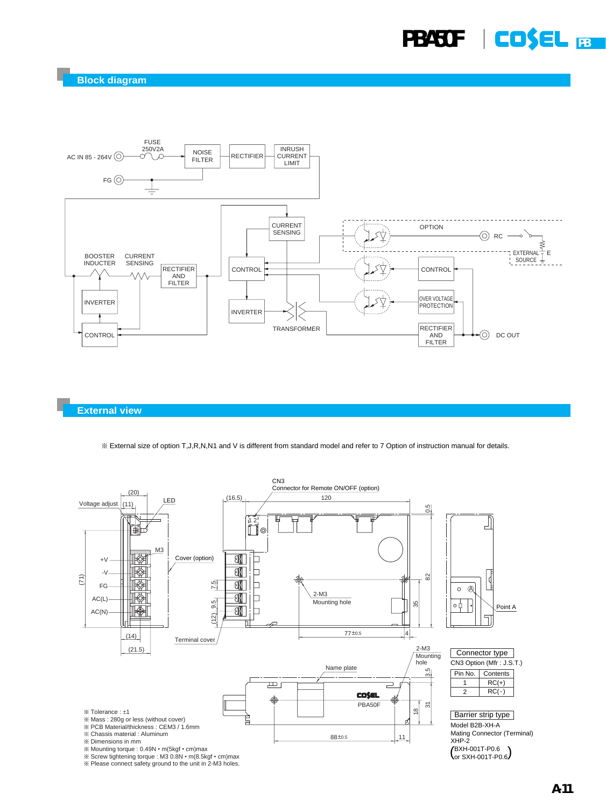

#### **External view**

¶ External size of option T,J,R,N,N1 and V is different from standard model and refer to 7 Option of instruction manual for details.



 $*$  Please connect safety ground to the unit in 2-M3 holes.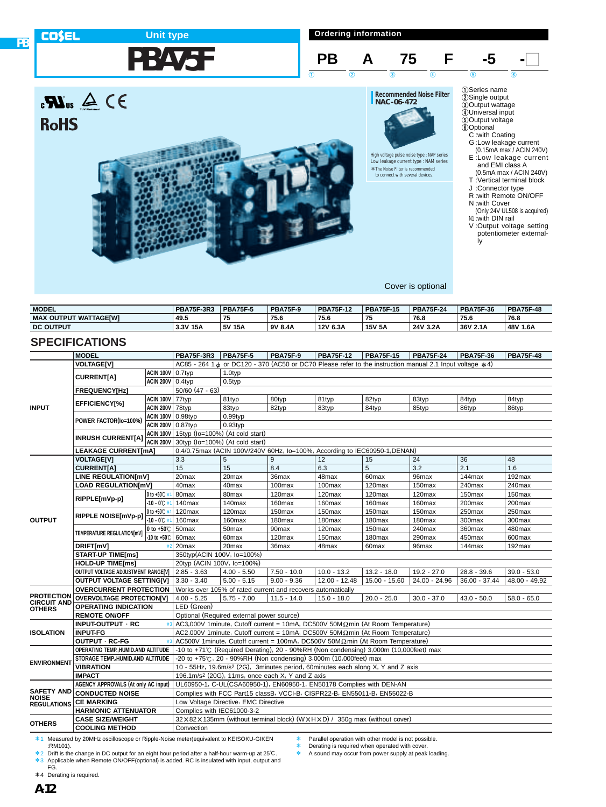

- N<sub>1</sub>:with DIN rail
- V :Output voltage setting potentiometer external
	- ly

Cover is optional

| <b>MODEL</b>                      | <b>PBA75F-3R3</b> | <b>PBA75F-5</b> | <b>PBA75F-9</b> | <b>PBA75F-12</b> | <b>PBA75F-15</b> | <b>PBA75F-24</b> | <b>PBA75F-36</b> | <b>PBA75F-48</b> |
|-----------------------------------|-------------------|-----------------|-----------------|------------------|------------------|------------------|------------------|------------------|
| OUTPUT WATTAGEIWI (<br><b>MAX</b> | 49.5              | 75              | 75.6            | 75.6             | 75               | 76.8             | 75.6             | 76.8             |
| <b>DC OUTPUT</b>                  | 3.3V 15A          | 5V 15A          | 9V 8.4A         | 12V 6.3A         | <b>15V 5A</b>    | 24V 3.2A         | 36V 2.1A         | 48V 1.6A         |

# **SPECIFICATIONS**

**PB**

|                    | <b>MODEL</b>                                                            |                                   | <b>PBA75F-3R3</b>                                        | $PBA75F-5$                                                   | <b>PBA75F-9</b>   | <b>PBA75F-12</b>                                                                                              | <b>PBA75F-15</b> | <b>PBA75F-24</b> | <b>PBA75F-36</b> | <b>PBA75F-48</b> |  |  |
|--------------------|-------------------------------------------------------------------------|-----------------------------------|----------------------------------------------------------|--------------------------------------------------------------|-------------------|---------------------------------------------------------------------------------------------------------------|------------------|------------------|------------------|------------------|--|--|
|                    | <b>VOLTAGEIVI</b>                                                       |                                   |                                                          |                                                              |                   | AC85 - 264 1 $\phi$ or DC120 - 370 (AC50 or DC70 Please refer to the instruction manual 2.1 Input voltage *4) |                  |                  |                  |                  |  |  |
|                    | <b>CURRENT[A]</b>                                                       | <b>ACIN 100V</b> 0.7typ           |                                                          | 1.0typ                                                       |                   |                                                                                                               |                  |                  |                  |                  |  |  |
|                    |                                                                         | <b>ACIN 200V</b> 0.4typ           |                                                          | 0.5typ                                                       |                   |                                                                                                               |                  |                  |                  |                  |  |  |
|                    | <b>FREQUENCY[Hz]</b>                                                    |                                   | 50/60 (47 - 63)                                          |                                                              |                   |                                                                                                               |                  |                  |                  |                  |  |  |
|                    | EFFICIENCY[%]                                                           | <b>ACIN 100V 77typ</b>            |                                                          | 81typ                                                        | 80typ             | 81typ                                                                                                         | 82typ            | 83typ            | 84typ            | 84typ            |  |  |
| <b>INPUT</b>       |                                                                         | <b>ACIN 200V 78typ</b>            |                                                          | 83typ                                                        | 82typ             | 83typ                                                                                                         | 84typ            | 85typ            | 86typ            | 86typ            |  |  |
|                    | POWER FACTOR(Io=100%)                                                   | <b>ACIN 100V</b> 0.98typ          |                                                          | $0.99$ typ                                                   |                   |                                                                                                               |                  |                  |                  |                  |  |  |
|                    |                                                                         | ACIN 200V 0.87typ                 |                                                          | $0.93$ typ                                                   |                   |                                                                                                               |                  |                  |                  |                  |  |  |
|                    | <b>INRUSH CURRENT[A]</b>                                                |                                   | ACIN 100V 15typ (Io=100%) (At cold start)                |                                                              |                   |                                                                                                               |                  |                  |                  |                  |  |  |
|                    |                                                                         |                                   | ACIN 200V 30typ (Io=100%) (At cold start)                |                                                              |                   |                                                                                                               |                  |                  |                  |                  |  |  |
|                    | <b>LEAKAGE CURRENT[mA]</b>                                              |                                   |                                                          |                                                              |                   | 0.4/0.75max (ACIN 100V/240V 60Hz, lo=100%, According to IEC60950-1, DENAN)                                    |                  |                  |                  |                  |  |  |
|                    | <b>VOLTAGE[V]</b>                                                       |                                   | 3.3                                                      | $\sqrt{5}$                                                   | 9                 | 12                                                                                                            | 15               | 24               | 36               | 48               |  |  |
|                    | <b>CURRENT[A]</b>                                                       |                                   | 15                                                       | 15                                                           | 8.4               | 6.3                                                                                                           | $\overline{5}$   | 3.2              | 2.1              | 1.6              |  |  |
|                    | LINE REGULATION[mV]                                                     |                                   | 20max                                                    | 20 <sub>max</sub>                                            | 36max             | 48max                                                                                                         | 60max            | 96max            | 144max           | 192max           |  |  |
|                    | <b>LOAD REGULATION[mV]</b>                                              |                                   | 40max                                                    | 40max                                                        | 100max            | 100max                                                                                                        | 120max           | 150max           | 240max           | 240max           |  |  |
|                    | RIPPLE[mVp-p]                                                           | 0 to +50℃ *1                      | 80 <sub>max</sub>                                        | 80 <sub>max</sub>                                            | 120max            | 120 <sub>max</sub>                                                                                            | 120max           | 120max           | 150max           | 150max           |  |  |
|                    |                                                                         | $-10 - 0$ °C*                     | 140max                                                   | 140max                                                       | 160max            | 160max                                                                                                        | 160max           | 160max           | 200max           | 200max           |  |  |
|                    | RIPPLE NOISE[mVp-p]                                                     | 0 to +50℃ *                       | 120max                                                   | 120max                                                       | 150max            | 150max                                                                                                        | 150max           | 150max           | 250max           | 250max           |  |  |
| <b>OUTPUT</b>      |                                                                         | $-10 - 0$ °C $*1$                 | 160max                                                   | 160max                                                       | 180max            | 180 <sub>max</sub>                                                                                            | 180max           | 180max           | 300max           | 300max           |  |  |
|                    | TEMPERATURE REGULATION[mV]                                              | $\vert$ 0 to +50°C $\vert$ 50 max |                                                          | 50 <sub>max</sub>                                            | 90 <sub>max</sub> | 120 <sub>max</sub>                                                                                            | 150max           | 240max           | 360max           | 480max           |  |  |
|                    |                                                                         | -10 to +50℃                       | 60max                                                    | 60 <sub>max</sub>                                            | 120max            | 150max                                                                                                        | 180max           | 290max           | 450max           | 600max           |  |  |
|                    | DRIFT[mV]                                                               |                                   | 20max                                                    | 20max                                                        | 36max             | 48max                                                                                                         | 60max            | 96max            | 144max           | 192max           |  |  |
|                    | <b>START-UP TIME[ms]</b>                                                |                                   | 350typ(ACIN 100V, Io=100%)<br>20typ (ACIN 100V, lo=100%) |                                                              |                   |                                                                                                               |                  |                  |                  |                  |  |  |
|                    | <b>HOLD-UP TIME[ms]</b>                                                 |                                   |                                                          |                                                              |                   |                                                                                                               |                  |                  |                  |                  |  |  |
|                    | OUTPUT VOLTAGE ADJUSTMENT RANGE[V]                                      |                                   | $2.85 - 3.63$                                            | $4.00 - 5.50$                                                | $7.50 - 10.0$     | $10.0 - 13.2$                                                                                                 | $13.2 - 18.0$    | $19.2 - 27.0$    | $28.8 - 39.6$    | $39.0 - 53.0$    |  |  |
|                    | <b>OUTPUT VOLTAGE SETTING[V]</b>                                        |                                   | $3.30 - 3.40$                                            | $5.00 - 5.15$                                                | $9.00 - 9.36$     | $12.00 - 12.48$                                                                                               | $15.00 - 15.60$  | $24.00 - 24.96$  | $36.00 - 37.44$  | $48.00 - 49.92$  |  |  |
| <b>PROTECTION</b>  | <b>OVERCURRENT PROTECTION</b>                                           |                                   |                                                          | Works over 105% of rated current and recovers automatically  |                   |                                                                                                               |                  |                  |                  |                  |  |  |
| CIRCUIT AND        | <b>OVERVOLTAGE PROTECTION[V]</b>                                        |                                   | $4.00 - 5.25$                                            | $5.75 - 7.00$                                                | $11.5 - 14.0$     | $15.0 - 18.0$                                                                                                 | $20.0 - 25.0$    | $30.0 - 37.0$    | $43.0 - 50.0$    | $58.0 - 65.0$    |  |  |
| <b>OTHERS</b>      | <b>OPERATING INDICATION</b>                                             |                                   | LED (Green)                                              |                                                              |                   |                                                                                                               |                  |                  |                  |                  |  |  |
|                    | <b>REMOTE ON/OFF</b>                                                    |                                   |                                                          | Optional (Required external power source)                    |                   |                                                                                                               |                  |                  |                  |                  |  |  |
|                    | INPUT-OUTPUT · RC                                                       |                                   |                                                          |                                                              |                   | AC3,000V 1 minute, Cutoff current = 10mA, DC500V 50M $\Omega$ min (At Room Temperature)                       |                  |                  |                  |                  |  |  |
| <b>ISOLATION</b>   | <b>INPUT-FG</b>                                                         |                                   |                                                          |                                                              |                   | AC2,000V 1minute, Cutoff current = 10mA, DC500V 50M $\Omega$ min (At Room Temperature)                        |                  |                  |                  |                  |  |  |
|                    | <b>OUTPUT · RC-FG</b>                                                   |                                   |                                                          |                                                              |                   | AC500V 1minute, Cutoff current = 100mA, DC500V 50M $\Omega$ min (At Room Temperature)                         |                  |                  |                  |                  |  |  |
|                    | OPERATING TEMP. HUMID.AND ALTITUDE<br>STORAGE TEMP., HUMID.AND ALTITUDE |                                   |                                                          |                                                              |                   | -10 to +71℃ (Required Derating), 20 - 90%RH (Non condensing) 3,000m (10,000feet) max                          |                  |                  |                  |                  |  |  |
| <b>ENVIRONMENT</b> | <b>VIBRATION</b>                                                        |                                   |                                                          |                                                              |                   | -20 to +75°C, 20 - 90%RH (Non condensing) 3,000m (10,000feet) max                                             |                  |                  |                  |                  |  |  |
|                    | <b>IMPACT</b>                                                           |                                   |                                                          | 196.1m/s <sup>2</sup> (20G), 11ms, once each X, Y and Z axis |                   | 10 - 55Hz, 19.6m/s <sup>2</sup> (2G), 3minutes period, 60minutes each along X, Y and Z axis                   |                  |                  |                  |                  |  |  |
|                    | <b>AGENCY APPROVALS (At only AC input)</b>                              |                                   |                                                          |                                                              |                   | UL60950-1, C-UL(CSA60950-1), EN60950-1, EN50178 Complies with DEN-AN                                          |                  |                  |                  |                  |  |  |
| <b>SAFETY AND</b>  | <b>CONDUCTED NOISE</b>                                                  |                                   |                                                          |                                                              |                   | Complies with FCC Part15 classB, VCCI-B, CISPR22-B, EN55011-B, EN55022-B                                      |                  |                  |                  |                  |  |  |
| <b>NOISE</b>       | <b>CE MARKING</b>                                                       |                                   |                                                          | Low Voltage Directive, EMC Directive                         |                   |                                                                                                               |                  |                  |                  |                  |  |  |
| <b>REGULATIONS</b> | <b>HARMONIC ATTENUATOR</b>                                              |                                   | Complies with IEC61000-3-2                               |                                                              |                   |                                                                                                               |                  |                  |                  |                  |  |  |
|                    | <b>CASE SIZE/WEIGHT</b>                                                 |                                   |                                                          |                                                              |                   | 32 x 82 x 135mm (without terminal block) (W x H x D) / 350g max (without cover)                               |                  |                  |                  |                  |  |  |
| <b>OTHERS</b>      | <b>COOLING METHOD</b>                                                   |                                   | Convection                                               |                                                              |                   |                                                                                                               |                  |                  |                  |                  |  |  |
|                    |                                                                         |                                   |                                                          |                                                              |                   |                                                                                                               |                  |                  |                  |                  |  |  |

\*1 Measured by 20MHz oscilloscope or Ripple-Noise meter(equivalent to KEISOKU-GIKEN :RM101).

\*2 Drift is the change in DC output for an eight hour period after a half-hour warm-up at 25°C. \*3 Applicable when Remote ON/OFF(optional) is added. RC is insulated with input, output and FG. \* Parallel operation with other model is not possible.

**Example 2** Derating is required when operated with cover.<br> **EXAMPLE 25 A Sound may occur from power supply at peak** 

A sound may occur from power supply at peak loading.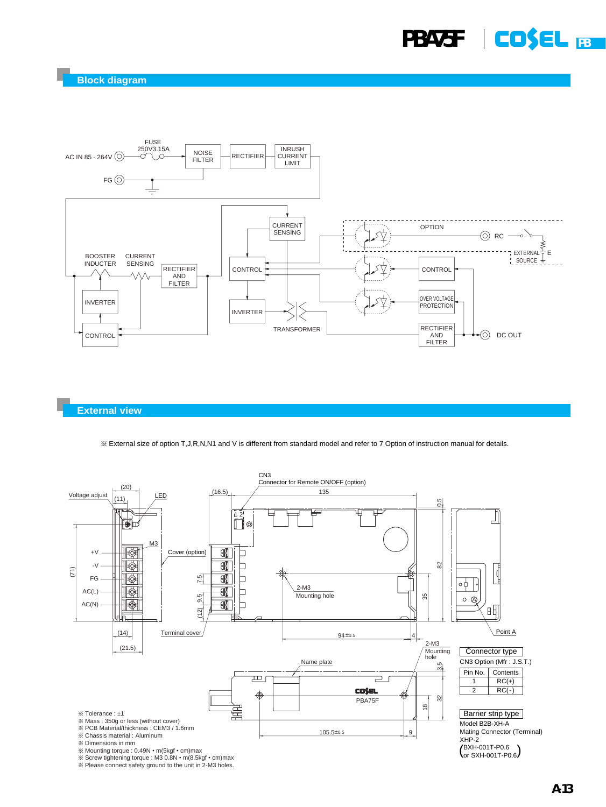

#### **External view**

¶ External size of option T,J,R,N,N1 and V is different from standard model and refer to 7 Option of instruction manual for details.



¶ Screw tightening torque : M3 0.8N • m(8.5kgf • cm)max ¶ Please connect safety ground to the unit in 2-M3 holes.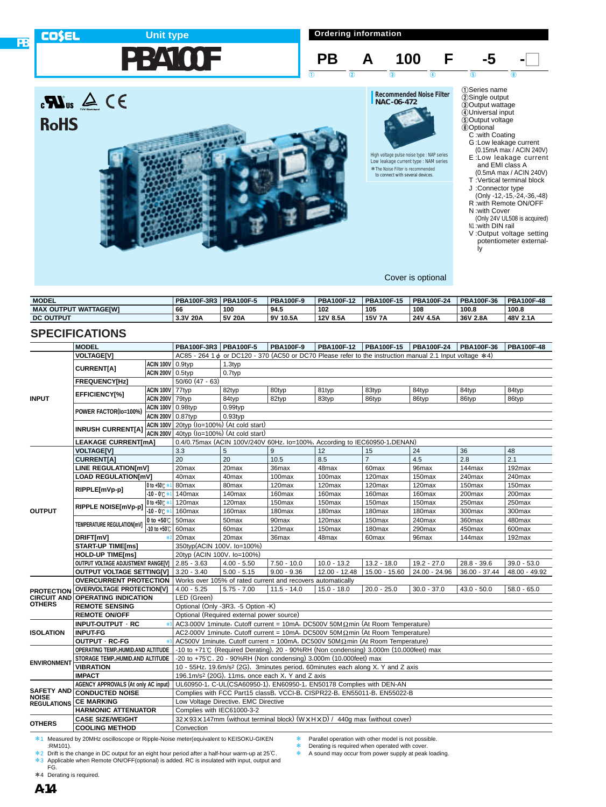# **Unit type**

**Ordering information**



G :Low leakage current

(0.15mA max / ACIN 240V) E :Low leakage current and EMI class A (0.5mA max / ACIN 240V)

- T :Vertical terminal block J :Connector type
- (Only -12,-15,-24,-36,-48) R :with Remote ON/OFF N :with Cover
- (Only 24V UL508 is acquired)
- N<sub>1</sub> : with DIN rail
- V :Output voltage setting potentiometer externally

Cover is optional

High voltage pulse noise type : NAP series Low leakage current type : NAM series \*The Noise Filter is recommended \*to connect with several devices.

| <b>MODEL</b>                      | <b>PBA100F-3R3</b> | <b>PBA100F-5</b> | <b>PBA100F-9</b> | PBA100F-12 | PBA100F-15    | <b>PBA100F-24</b> | PBA100F-36 | <b>PBA100F-48</b> |
|-----------------------------------|--------------------|------------------|------------------|------------|---------------|-------------------|------------|-------------------|
| : OUTPUT WATTAGEIWI<br><b>MAX</b> | 66                 | 100              | 94.5             | 102        | 105           | 108               | 100.8      | 100.8             |
| <b>DC OUTPUT</b>                  | 3.3V 20A           | 5V 20A           | 9V 10.5A         | 12V 8.5A   | <b>15V 7A</b> | 24V 4.5A          | 36V 2.8A   | 48V 2.1A          |

### **SPECIFICATIONS**

 $\mathbf{R}$ us  $\mathbf{A} \in \mathbf{R}$ 

**RoHS** 

|                                     | <b>MODEL</b>                                                 |                         | PBA100F-3R3   PBA100F-5                                                                                                                                                         |                   | <b>PBA100F-9</b>                                            | PBA100F-12         | PBA100F-15        | PBA100F-24        | PBA100F-36      | <b>PBA100F-48</b> |  |  |
|-------------------------------------|--------------------------------------------------------------|-------------------------|---------------------------------------------------------------------------------------------------------------------------------------------------------------------------------|-------------------|-------------------------------------------------------------|--------------------|-------------------|-------------------|-----------------|-------------------|--|--|
|                                     | <b>VOLTAGE[V]</b>                                            |                         | AC85 - 264 1 $\phi$ or DC120 - 370 (AC50 or DC70 Please refer to the instruction manual 2.1 Input voltage *4)                                                                   |                   |                                                             |                    |                   |                   |                 |                   |  |  |
| <b>INPUT</b>                        | <b>ACIN 100V</b> 0.9typ                                      |                         | 1.3typ                                                                                                                                                                          |                   |                                                             |                    |                   |                   |                 |                   |  |  |
|                                     | <b>CURRENTIA1</b>                                            | <b>ACIN 200V</b> 0.5typ |                                                                                                                                                                                 | 0.7typ            |                                                             |                    |                   |                   |                 |                   |  |  |
|                                     | <b>FREQUENCY[Hz]</b>                                         |                         | 50/60 (47 - 63)                                                                                                                                                                 |                   |                                                             |                    |                   |                   |                 |                   |  |  |
|                                     |                                                              | <b>ACIN 100V 77typ</b>  |                                                                                                                                                                                 | 82typ             | 80typ                                                       | 81typ              | 83typ             | 84typ             | 84typ           | 84typ             |  |  |
|                                     | <b>EFFICIENCY[%]</b>                                         | <b>ACIN 200V 79typ</b>  |                                                                                                                                                                                 | 84typ             | 82typ                                                       | 83typ              | 86typ             | 86typ             | 86typ           | 86typ             |  |  |
|                                     |                                                              | ACIN 100V 0.98typ       |                                                                                                                                                                                 | $0.99$ typ        |                                                             |                    |                   |                   |                 |                   |  |  |
|                                     | POWER FACTOR(Io=100%)                                        |                         | ACIN 200V 0.87typ<br>$0.93$ typ                                                                                                                                                 |                   |                                                             |                    |                   |                   |                 |                   |  |  |
|                                     |                                                              |                         | $ACIN 100V$ 20typ (lo=100%) (At cold start)                                                                                                                                     |                   |                                                             |                    |                   |                   |                 |                   |  |  |
|                                     | <b>INRUSH CURRENT[A]</b>                                     |                         | ACIN 200V 40typ ( $Io=100\%$ ) (At cold start)                                                                                                                                  |                   |                                                             |                    |                   |                   |                 |                   |  |  |
|                                     | <b>LEAKAGE CURRENT[mA]</b>                                   |                         | 0.4/0.75max (ACIN 100V/240V 60Hz, lo=100%, According to IEC60950-1, DENAN)                                                                                                      |                   |                                                             |                    |                   |                   |                 |                   |  |  |
|                                     | <b>VOLTAGE[V]</b>                                            |                         | 3.3                                                                                                                                                                             | 5                 | 9                                                           | 12                 | 15                | 24                | 36              | 48                |  |  |
|                                     | <b>CURRENT[A]</b>                                            |                         | 20                                                                                                                                                                              | $\overline{20}$   | 10.5                                                        | 8.5                | $\overline{7}$    | 4.5               | 2.8             | 2.1               |  |  |
|                                     | LINE REGULATION[mV]                                          |                         | 20max                                                                                                                                                                           | 20max             | 36 <sub>max</sub>                                           | 48max              | 60 <sub>max</sub> | 96 <sub>max</sub> | 144max          | 192max            |  |  |
|                                     | <b>LOAD REGULATION[mV]</b>                                   |                         | 40max                                                                                                                                                                           | 40max             | 100max                                                      | 100max             | 120max            | 150max            | 240max          | 240max            |  |  |
|                                     |                                                              | 0 to +50℃ *             | 80max                                                                                                                                                                           | 80max             | 120max                                                      | 120max             | 120max            | 120max            | 150max          | 150max            |  |  |
|                                     | RIPPLE[mVp-p]                                                | $-10 - 0$ °C*           | 140max                                                                                                                                                                          | 140max            | 160max                                                      | 160max             | 160max            | 160max            | 200max          | 200max            |  |  |
| <b>OUTPUT</b>                       | RIPPLE NOISE[mVp-p]                                          | 0 to +50℃ *1            | 120max                                                                                                                                                                          | 120max            | 150max                                                      | 150max             | 150max            | 150max            | 250max          | 250max            |  |  |
|                                     |                                                              | $-10 - 0$ °C $*$        | 160max                                                                                                                                                                          | 160max            | 180max                                                      | 180max             | 180max            | 180max            | 300max          | 300max            |  |  |
|                                     | TEMPERATURE REGULATIONIMVI                                   | 0 to $+50^{\circ}$ C    | 50max                                                                                                                                                                           | 50max             | 90max                                                       | 120max             | 150max            | 240max            | 360max          | 480max            |  |  |
|                                     |                                                              | -10 to +50℃             | 60 <sub>max</sub>                                                                                                                                                               | 60 <sub>max</sub> | 120max                                                      | 150 <sub>max</sub> | 180max            | 290max            | 450max          | 600max            |  |  |
|                                     | DRIFT[mV]                                                    |                         | 20max                                                                                                                                                                           | 20max             | 36max                                                       | 48max              | 60max             | 96max             | 144max          | $192$ max         |  |  |
|                                     | <b>START-UP TIME[ms]</b>                                     |                         | 350typ(ACIN 100V, lo=100%)                                                                                                                                                      |                   |                                                             |                    |                   |                   |                 |                   |  |  |
|                                     | <b>HOLD-UP TIME[ms]</b>                                      |                         | 20typ (ACIN 100V, Io=100%)                                                                                                                                                      |                   |                                                             |                    |                   |                   |                 |                   |  |  |
|                                     | OUTPUT VOLTAGE ADJUSTMENT RANGE[V]   2.85 - 3.63             |                         |                                                                                                                                                                                 | $4.00 - 5.50$     | $7.50 - 10.0$                                               | $10.0 - 13.2$      | $13.2 - 18.0$     | $19.2 - 27.0$     | $28.8 - 39.6$   | $39.0 - 53.0$     |  |  |
|                                     | <b>OUTPUT VOLTAGE SETTING[V]</b>                             |                         | $3.20 - 3.40$                                                                                                                                                                   | $5.00 - 5.15$     | $9.00 - 9.36$                                               | $12.00 - 12.48$    | 15.00 - 15.60     | 24.00 - 24.96     | $36.00 - 37.44$ | 48.00 - 49.92     |  |  |
|                                     | <b>OVERCURRENT PROTECTION</b>                                |                         |                                                                                                                                                                                 |                   | Works over 105% of rated current and recovers automatically |                    |                   |                   |                 |                   |  |  |
| <b>PROTECTION</b>                   | <b>OVERVOLTAGE PROTECTION[V]</b>                             |                         | $4.00 - 5.25$                                                                                                                                                                   | $5.75 - 7.00$     | $11.5 - 14.0$                                               | $15.0 - 18.0$      | $20.0 - 25.0$     | $30.0 - 37.0$     | $43.0 - 50.0$   | $58.0 - 65.0$     |  |  |
| <b>CIRCUIT AND</b><br><b>OTHERS</b> | <b>OPERATING INDICATION</b>                                  |                         | LED (Green)                                                                                                                                                                     |                   |                                                             |                    |                   |                   |                 |                   |  |  |
|                                     | <b>REMOTE SENSING</b>                                        |                         | Optional (Only -3R3, -5 Option -K)                                                                                                                                              |                   |                                                             |                    |                   |                   |                 |                   |  |  |
|                                     | <b>REMOTE ON/OFF</b>                                         |                         | Optional (Required external power source)                                                                                                                                       |                   |                                                             |                    |                   |                   |                 |                   |  |  |
|                                     | <b>INPUT-OUTPUT · RC</b>                                     |                         | AC3,000V 1minute, Cutoff current = 10mA, DC500V 50M $\Omega$ min (At Room Temperature)                                                                                          |                   |                                                             |                    |                   |                   |                 |                   |  |  |
| <b>ISOLATION</b>                    | <b>INPUT-FG</b>                                              |                         | AC2,000V 1minute, Cutoff current = 10mA, DC500V 50M $\Omega$ min (At Room Temperature)<br>AC500V 1minute, Cutoff current = 100mA, DC500V 50M $\Omega$ min (At Room Temperature) |                   |                                                             |                    |                   |                   |                 |                   |  |  |
|                                     | <b>OUTPUT · RC-FG</b><br>OPERATING TEMP., HUMID.AND ALTITUDE |                         | -10 to +71℃ (Required Derating), 20 - 90%RH (Non condensing) 3,000m (10,000feet) max                                                                                            |                   |                                                             |                    |                   |                   |                 |                   |  |  |
|                                     | STORAGE TEMP., HUMID.AND ALTITUDE                            |                         | -20 to +75°C, 20 - 90%RH (Non condensing) 3,000m (10,000feet) max                                                                                                               |                   |                                                             |                    |                   |                   |                 |                   |  |  |
| <b>ENVIRONMENT</b>                  | <b>VIBRATION</b>                                             |                         | 10 - 55Hz, 19.6m/s <sup>2</sup> (2G), 3minutes period, 60minutes each along X, Y and Z axis                                                                                     |                   |                                                             |                    |                   |                   |                 |                   |  |  |
|                                     | <b>IMPACT</b>                                                |                         | 196.1m/s <sup>2</sup> (20G), 11ms, once each X, Y and Z axis                                                                                                                    |                   |                                                             |                    |                   |                   |                 |                   |  |  |
|                                     | <b>AGENCY APPROVALS (At only AC input)</b>                   |                         | UL60950-1, C-UL(CSA60950-1), EN60950-1, EN50178 Complies with DEN-AN                                                                                                            |                   |                                                             |                    |                   |                   |                 |                   |  |  |
| <b>SAFETY AND</b>                   | <b>CONDUCTED NOISE</b>                                       |                         | Complies with FCC Part15 classB, VCCI-B, CISPR22-B, EN55011-B, EN55022-B                                                                                                        |                   |                                                             |                    |                   |                   |                 |                   |  |  |
| <b>NOISE</b><br><b>REGULATIONS</b>  | <b>CE MARKING</b>                                            |                         | Low Voltage Directive, EMC Directive                                                                                                                                            |                   |                                                             |                    |                   |                   |                 |                   |  |  |
|                                     | <b>HARMONIC ATTENUATOR</b>                                   |                         | Complies with IEC61000-3-2                                                                                                                                                      |                   |                                                             |                    |                   |                   |                 |                   |  |  |
|                                     | <b>CASE SIZE/WEIGHT</b>                                      |                         | 32 × 93 × 147mm (without terminal block) (W × H × D) / 440q max (without cover)                                                                                                 |                   |                                                             |                    |                   |                   |                 |                   |  |  |
| <b>OTHERS</b>                       | <b>COOLING METHOD</b>                                        |                         | Convection                                                                                                                                                                      |                   |                                                             |                    |                   |                   |                 |                   |  |  |
|                                     |                                                              |                         |                                                                                                                                                                                 |                   |                                                             |                    |                   |                   |                 |                   |  |  |

\*1 Measured by 20MHz oscilloscope or Ripple-Noise meter(equivalent to KEISOKU-GIKEN :RM101).

\*2 Drift is the change in DC output for an eight hour period after a half-hour warm-up at 25°C. \*3 Applicable when Remote ON/OFF(optional) is added. RC is insulated with input, output and FG. Parallel operation with other model is not possible.

\* Derating is required when operated with cover.<br>\* A sound may occur from power supply at peak.

A sound may occur from power supply at peak loading.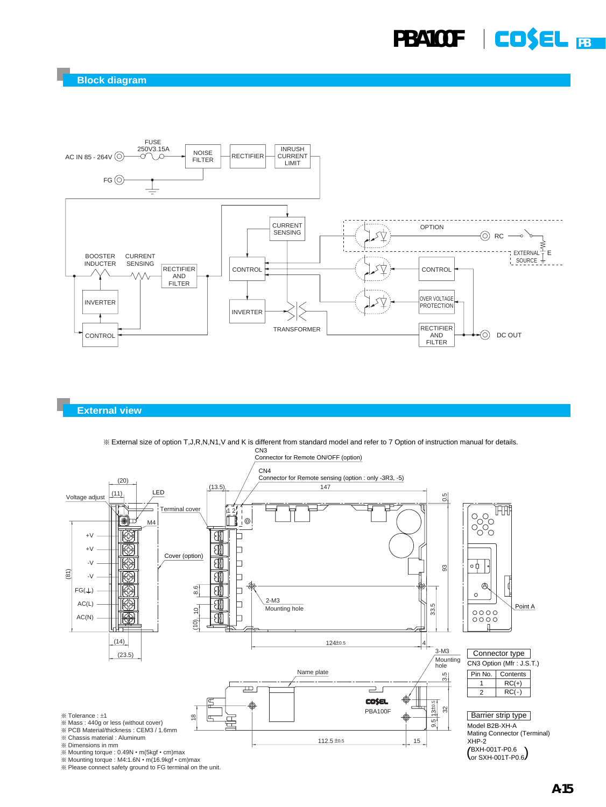

#### **External view**



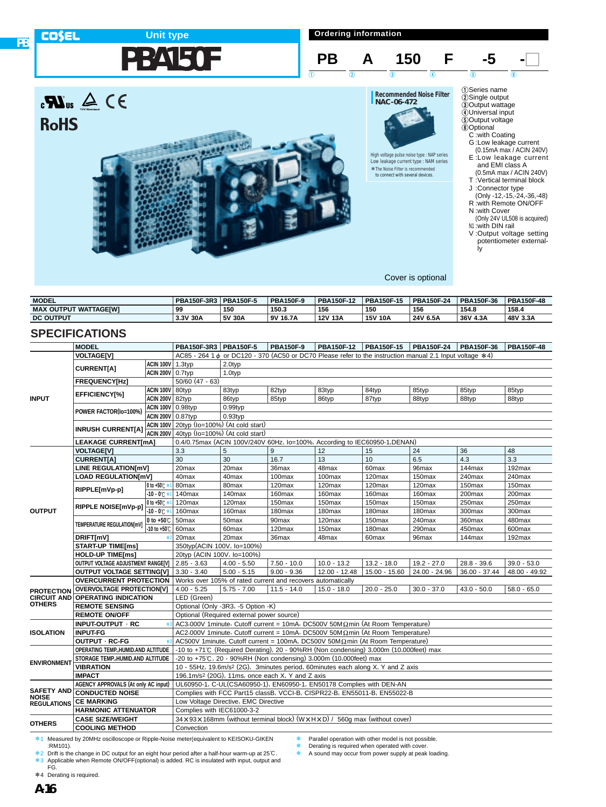

**Ordering information**



| <b>MODEL</b>                 | <b>PBA150F-3R3</b> | <b>PBA150F-5</b> | <b>PBA150F-9</b> | <b>PBA150F-12</b> | <b>PBA150F-15</b> | <b>PBA150F-24</b> | PBA150F-36 | <b>PBA150F-48</b> |
|------------------------------|--------------------|------------------|------------------|-------------------|-------------------|-------------------|------------|-------------------|
| <b>MAX OUTPUT WATTAGEIWI</b> | 99                 | 150              | 150.3            | 156               | 150               | 156               | 154.8      | 158.4             |
| <b>DC OUTPUT</b>             | 3.3V 30A           | 5V 30A           | 9V 16.7A         | 12V 13A           | <b>15V 10A</b>    | 24V 6.5A          | 36V 4.3A   | 48V 3.3A          |

## **SPECIFICATIONS**

**PB**

|                    | <b>MODEL</b>                                                         |                          | PBA150F-3R3   PBA150F-5                                                                                                                                     |                   | <b>PBA150F-9</b>  | PBA150F-12         | PBA150F-15         | PBA150F-24         | PBA150F-36      | <b>PBA150F-48</b> |  |
|--------------------|----------------------------------------------------------------------|--------------------------|-------------------------------------------------------------------------------------------------------------------------------------------------------------|-------------------|-------------------|--------------------|--------------------|--------------------|-----------------|-------------------|--|
|                    | <b>VOLTAGE[V]</b>                                                    |                          | AC85 - 264 1 $\phi$ or DC120 - 370 (AC50 or DC70 Please refer to the instruction manual 2.1 Input voltage *4)                                               |                   |                   |                    |                    |                    |                 |                   |  |
| <b>INPUT</b>       | ACIN 100V 1.3typ                                                     |                          | $2.0$ typ                                                                                                                                                   |                   |                   |                    |                    |                    |                 |                   |  |
|                    | <b>CURRENT[A]</b>                                                    | <b>ACIN 200V</b> 0.7typ  |                                                                                                                                                             | 1.0typ            |                   |                    |                    |                    |                 |                   |  |
|                    | <b>FREQUENCY[Hz]</b>                                                 |                          | $50/60$ (47 - 63)                                                                                                                                           |                   |                   |                    |                    |                    |                 |                   |  |
|                    |                                                                      | <b>ACIN 100V 80typ</b>   |                                                                                                                                                             | 83typ             | 82typ             | 83typ              | 84typ              | 85typ              | 85typ           | 85typ             |  |
|                    | <b>EFFICIENCY[%]</b>                                                 | <b>ACIN 200V</b> 82typ   |                                                                                                                                                             | 86typ             | 85typ             | 86typ              | 87typ              | 88typ              | 88typ           | 88typ             |  |
|                    | POWER FACTOR(Io=100%)                                                | <b>ACIN 100V 0.98typ</b> |                                                                                                                                                             | $0.99$ typ        |                   |                    |                    |                    |                 |                   |  |
|                    |                                                                      | ACIN 200V 0.87typ        | $0.93$ typ                                                                                                                                                  |                   |                   |                    |                    |                    |                 |                   |  |
|                    | <b>INRUSH CURRENT[A]</b>                                             |                          | ACIN 100V 20typ (Io=100%) (At cold start)                                                                                                                   |                   |                   |                    |                    |                    |                 |                   |  |
|                    |                                                                      |                          | ACIN 200V 40typ (Io=100%) (At cold start)                                                                                                                   |                   |                   |                    |                    |                    |                 |                   |  |
|                    | <b>LEAKAGE CURRENT[mA]</b>                                           |                          | 0.4/0.75max (ACIN 100V/240V 60Hz, lo=100%, According to IEC60950-1, DENAN)                                                                                  |                   |                   |                    |                    |                    |                 |                   |  |
|                    | <b>VOLTAGE[V]</b>                                                    |                          | 3.3                                                                                                                                                         | 5                 | 9                 | 12                 | 15                 | 24                 | 36              | 48                |  |
|                    | <b>CURRENT[A]</b>                                                    |                          | $\overline{30}$                                                                                                                                             | 30                | 16.7              | $\overline{13}$    | 10                 | 6.5                | 4.3             | 3.3               |  |
|                    | LINE REGULATION[mV]                                                  |                          | 20max                                                                                                                                                       | 20 <sub>max</sub> | 36max             | 48max              | 60max              | 96max              | 144max          | 192max            |  |
|                    | <b>LOAD REGULATION[mV]</b>                                           |                          | 40max                                                                                                                                                       | 40max             | 100max            | 100max             | 120max             | 150max             | 240max          | 240max            |  |
|                    |                                                                      | 0 to +50℃ *              | 80max                                                                                                                                                       | 80 <sub>max</sub> | 120max            | 120max             | 120max             | 120max             | 150max          | 150max            |  |
|                    | RIPPLE[mVp-p]                                                        | $-10 - 0^{\circ}$        | 140max                                                                                                                                                      | 140max            | 160max            | 160max             | 160max             | 160max             | 200max          | 200max            |  |
|                    |                                                                      | 0 to +50℃ *1             | 120max                                                                                                                                                      | 120max            | 150max            | 150max             | 150max             | 150max             | 250max          | 250max            |  |
| <b>OUTPUT</b>      | RIPPLE NOISE[mVp-p]                                                  | $-10 - 0$ <sup>c</sup>   | 160max                                                                                                                                                      | 160max            | 180max            | 180max             | 180max             | 180 <sub>max</sub> | 300max          | 300max            |  |
|                    | <b>TEMPERATURE REGULATIONIMVI</b>                                    | 0 to +50 $\degree$ C     | 50max                                                                                                                                                       | 50 <sub>max</sub> | 90 <sub>max</sub> | 120max             | 150max             | 240max             | 360max          | 480max            |  |
|                    |                                                                      | -10 to +50℃              | 60 <sub>max</sub>                                                                                                                                           | 60 <sub>max</sub> | 120max            | 150 <sub>max</sub> | 180 <sub>max</sub> | 290max             | 450max          | 600max            |  |
|                    | DRIFT[mV]                                                            | $\star$                  | 20max                                                                                                                                                       | 20 <sub>max</sub> | 36max             | 48max              | 60 <sub>max</sub>  | 96max              | 144max          | 192max            |  |
|                    | <b>START-UP TIME[ms]</b>                                             |                          | 350typ(ACIN 100V, lo=100%)                                                                                                                                  |                   |                   |                    |                    |                    |                 |                   |  |
|                    | <b>HOLD-UP TIME[ms]</b>                                              |                          | 20typ (ACIN 100V, Io=100%)                                                                                                                                  |                   |                   |                    |                    |                    |                 |                   |  |
|                    | OUTPUT VOLTAGE ADJUSTMENT RANGE[V]   2.85 - 3.63                     |                          |                                                                                                                                                             | $4.00 - 5.50$     | $7.50 - 10.0$     | $10.0 - 13.2$      | $13.2 - 18.0$      | $19.2 - 27.0$      | $28.8 - 39.6$   | $39.0 - 53.0$     |  |
|                    | <b>OUTPUT VOLTAGE SETTING[V]</b>                                     |                          | $3.30 - 3.40$                                                                                                                                               | $5.00 - 5.15$     | $9.00 - 9.36$     | $12.00 - 12.48$    | 15.00 - 15.60      | 24.00 - 24.96      | $36.00 - 37.44$ | 48.00 - 49.92     |  |
|                    | <b>OVERCURRENT PROTECTION</b>                                        |                          | Works over 105% of rated current and recovers automatically                                                                                                 |                   |                   |                    |                    |                    |                 |                   |  |
| <b>PROTECTION</b>  | <b>OVERVOLTAGE PROTECTION[V]</b>                                     |                          | $4.00 - 5.25$                                                                                                                                               | $5.75 - 7.00$     | $11.5 - 14.0$     | $15.0 - 18.0$      | $20.0 - 25.0$      | $30.0 - 37.0$      | $43.0 - 50.0$   | $58.0 - 65.0$     |  |
|                    | <b>CIRCUIT AND OPERATING INDICATION</b>                              |                          | LED (Green)                                                                                                                                                 |                   |                   |                    |                    |                    |                 |                   |  |
| OTHERS             | <b>REMOTE SENSING</b>                                                |                          | Optional (Only -3R3, -5 Option -K)                                                                                                                          |                   |                   |                    |                    |                    |                 |                   |  |
|                    | <b>REMOTE ON/OFF</b>                                                 |                          | Optional (Required external power source)                                                                                                                   |                   |                   |                    |                    |                    |                 |                   |  |
|                    | INPUT-OUTPUT · RC                                                    | <b>火3</b>                | AC3,000V 1 minute, Cutoff current = 10mA, DC500V 50M $\Omega$ min (At Room Temperature)                                                                     |                   |                   |                    |                    |                    |                 |                   |  |
| <b>ISOLATION</b>   | <b>INPUT-FG</b>                                                      |                          | AC2,000V 1minute, Cutoff current = 10mA, DC500V 50M $\Omega$ min (At Room Temperature)                                                                      |                   |                   |                    |                    |                    |                 |                   |  |
|                    | OUTPUT · RC-FG                                                       |                          | AC500V 1minute, Cutoff current = 100mA, DC500V 50M $\Omega$ min (At Room Temperature)                                                                       |                   |                   |                    |                    |                    |                 |                   |  |
|                    | OPERATING TEMP., HUMID.AND ALTITUDE                                  |                          | -10 to +71℃ (Required Derating), 20 - 90%RH (Non condensing) 3,000m (10,000feet) max                                                                        |                   |                   |                    |                    |                    |                 |                   |  |
| <b>ENVIRONMENT</b> | STORAGE TEMP. HUMID.AND ALTITUDE                                     |                          | -20 to +75°C, 20 - 90%RH (Non condensing) 3,000m (10,000feet) max                                                                                           |                   |                   |                    |                    |                    |                 |                   |  |
|                    | <b>VIBRATION</b><br><b>IMPACT</b>                                    |                          | 10 - 55Hz, 19.6m/s <sup>2</sup> (2G), 3minutes period, 60minutes each along X, Y and Z axis<br>196.1m/s <sup>2</sup> (20G), 11ms, once each X, Y and Z axis |                   |                   |                    |                    |                    |                 |                   |  |
| <b>SAFETY AND</b>  |                                                                      |                          | UL60950-1, C-UL(CSA60950-1), EN60950-1, EN50178 Complies with DEN-AN                                                                                        |                   |                   |                    |                    |                    |                 |                   |  |
|                    | <b>AGENCY APPROVALS (At only AC input)</b><br><b>CONDUCTED NOISE</b> |                          | Complies with FCC Part15 classB, VCCI-B, CISPR22-B, EN55011-B, EN55022-B                                                                                    |                   |                   |                    |                    |                    |                 |                   |  |
| NOISE              | <b>CE MARKING</b>                                                    |                          | Low Voltage Directive, EMC Directive                                                                                                                        |                   |                   |                    |                    |                    |                 |                   |  |
| <b>REGULATIONS</b> | <b>HARMONIC ATTENUATOR</b>                                           |                          | Complies with IEC61000-3-2                                                                                                                                  |                   |                   |                    |                    |                    |                 |                   |  |
|                    | <b>CASE SIZE/WEIGHT</b>                                              |                          | 34 × 93 × 168mm (without terminal block) (W × H × D) / 560q max (without cover)                                                                             |                   |                   |                    |                    |                    |                 |                   |  |
| <b>OTHERS</b>      | <b>COOLING METHOD</b>                                                |                          | Convection                                                                                                                                                  |                   |                   |                    |                    |                    |                 |                   |  |
|                    |                                                                      |                          |                                                                                                                                                             |                   |                   |                    |                    |                    |                 |                   |  |

\*1 Measured by 20MHz oscilloscope or Ripple-Noise meter(equivalent to KEISOKU-GIKEN :RM101).

\*2 Drift is the change in DC output for an eight hour period after a half-hour warm-up at 25°C. \*3 Applicable when Remote ON/OFF(optional) is added. RC is insulated with input, output and FG. Parallel operation with other model is not possible.

\* Derating is required when operated with cover.<br>\* A sound may occur from power supply at peak.

A sound may occur from power supply at peak loading.